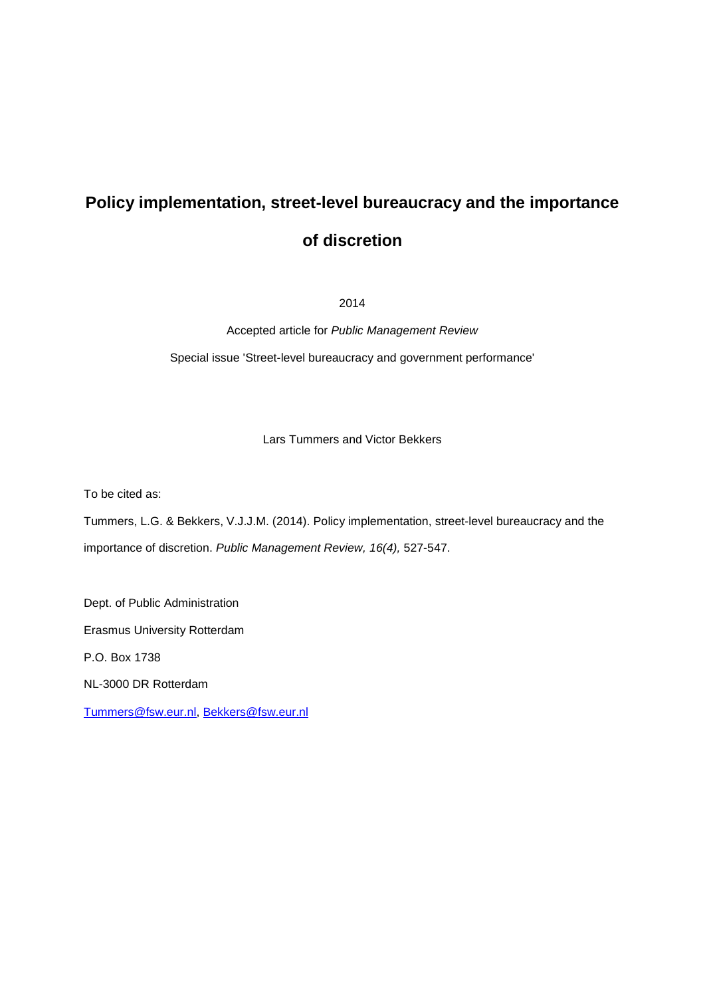# **Policy implementation, street-level bureaucracy and the importance of discretion**

2014

Accepted article for *Public Management Review* Special issue 'Street-level bureaucracy and government performance'

Lars Tummers and Victor Bekkers

To be cited as:

Tummers, L.G. & Bekkers, V.J.J.M. (2014). Policy implementation, street-level bureaucracy and the importance of discretion. *Public Management Review, 16(4),* 527-547.

Dept. of Public Administration Erasmus University Rotterdam P.O. Box 1738 NL-3000 DR Rotterdam

[Tummers@fsw.eur.nl,](mailto:Tummers@fsw.eur.nl) [Bekkers@fsw.eur.nl](mailto:Bekkers@fsw.eur.nl)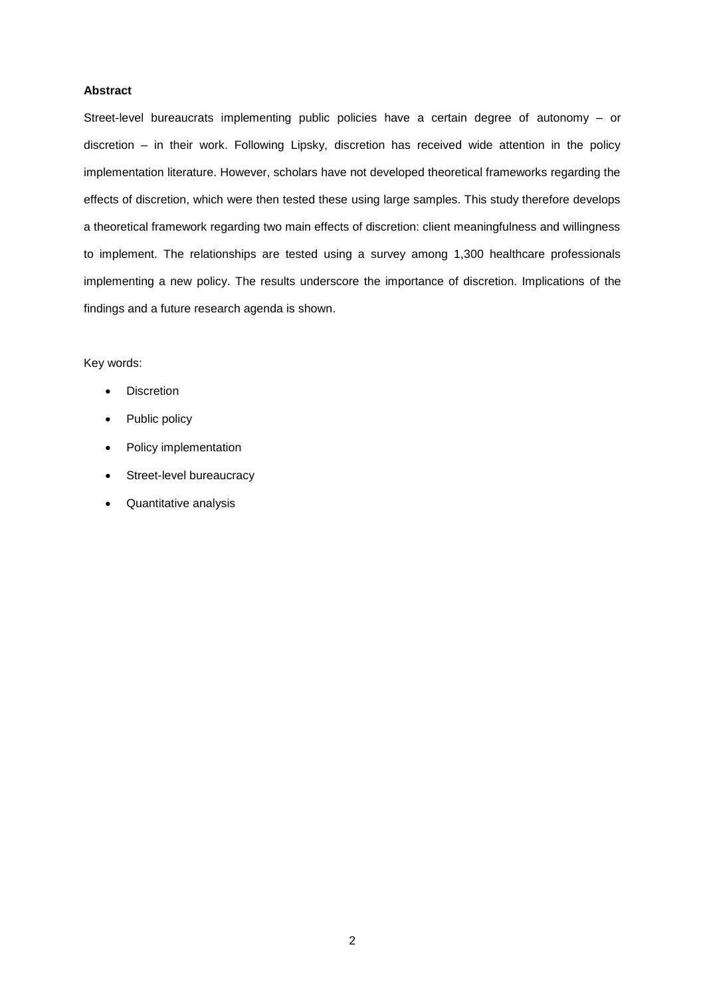# **Abstract**

Street-level bureaucrats implementing public policies have a certain degree of autonomy – or discretion – in their work. Following Lipsky, discretion has received wide attention in the policy implementation literature. However, scholars have not developed theoretical frameworks regarding the effects of discretion, which were then tested these using large samples. This study therefore develops a theoretical framework regarding two main effects of discretion: client meaningfulness and willingness to implement. The relationships are tested using a survey among 1,300 healthcare professionals implementing a new policy. The results underscore the importance of discretion. Implications of the findings and a future research agenda is shown.

# Key words:

- Discretion
- Public policy
- Policy implementation
- Street-level bureaucracy
- Quantitative analysis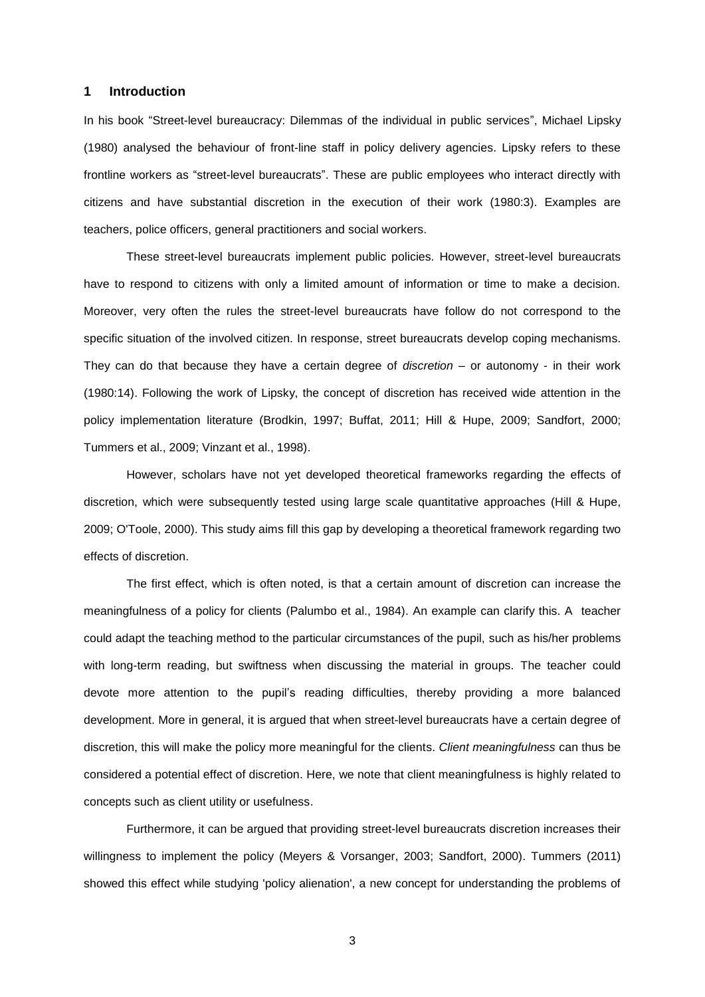# **1 Introduction**

In his book "Street-level bureaucracy: Dilemmas of the individual in public services", Michael Lipsky (1980) analysed the behaviour of front-line staff in policy delivery agencies. Lipsky refers to these frontline workers as "street-level bureaucrats". These are public employees who interact directly with citizens and have substantial discretion in the execution of their work (1980:3). Examples are teachers, police officers, general practitioners and social workers.

These street-level bureaucrats implement public policies. However, street-level bureaucrats have to respond to citizens with only a limited amount of information or time to make a decision. Moreover, very often the rules the street-level bureaucrats have follow do not correspond to the specific situation of the involved citizen. In response, street bureaucrats develop coping mechanisms. They can do that because they have a certain degree of *discretion* – or autonomy - in their work (1980:14). Following the work of Lipsky, the concept of discretion has received wide attention in the policy implementation literature (Brodkin, 1997; Buffat, 2011; Hill & Hupe, 2009; Sandfort, 2000; Tummers et al., 2009; Vinzant et al., 1998).

However, scholars have not yet developed theoretical frameworks regarding the effects of discretion, which were subsequently tested using large scale quantitative approaches (Hill & Hupe, 2009; O'Toole, 2000). This study aims fill this gap by developing a theoretical framework regarding two effects of discretion.

The first effect, which is often noted, is that a certain amount of discretion can increase the meaningfulness of a policy for clients (Palumbo et al., 1984). An example can clarify this. A teacher could adapt the teaching method to the particular circumstances of the pupil, such as his/her problems with long-term reading, but swiftness when discussing the material in groups. The teacher could devote more attention to the pupil's reading difficulties, thereby providing a more balanced development. More in general, it is argued that when street-level bureaucrats have a certain degree of discretion, this will make the policy more meaningful for the clients. *Client meaningfulness* can thus be considered a potential effect of discretion. Here, we note that client meaningfulness is highly related to concepts such as client utility or usefulness.

Furthermore, it can be argued that providing street-level bureaucrats discretion increases their willingness to implement the policy (Meyers & Vorsanger, 2003; Sandfort, 2000). Tummers (2011) showed this effect while studying 'policy alienation', a new concept for understanding the problems of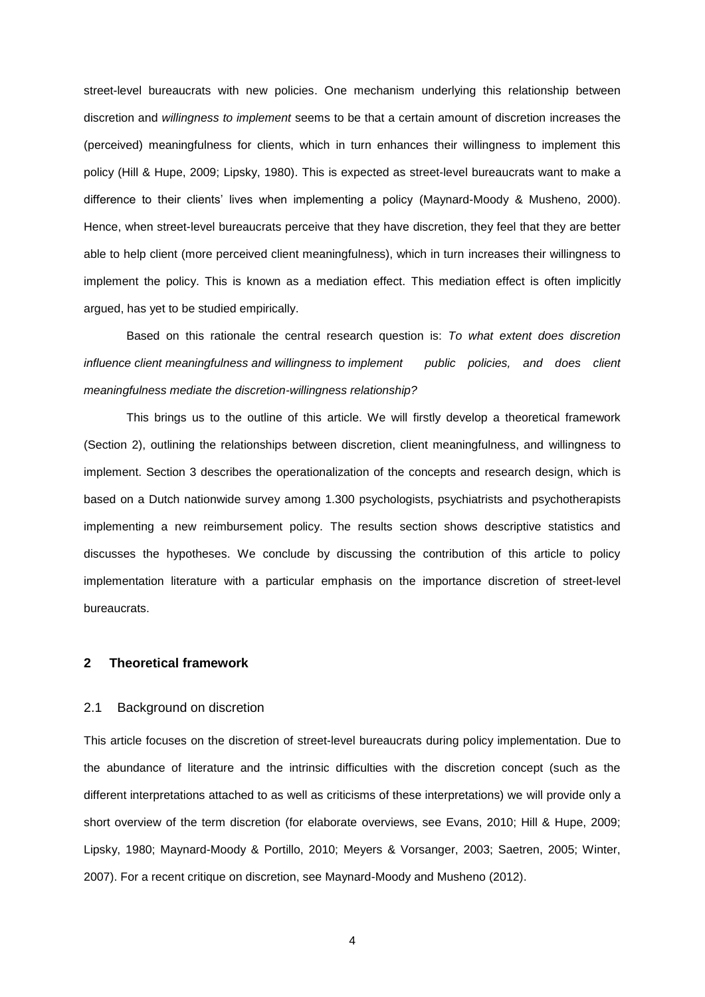street-level bureaucrats with new policies. One mechanism underlying this relationship between discretion and *willingness to implement* seems to be that a certain amount of discretion increases the (perceived) meaningfulness for clients, which in turn enhances their willingness to implement this policy (Hill & Hupe, 2009; Lipsky, 1980). This is expected as street-level bureaucrats want to make a difference to their clients' lives when implementing a policy (Maynard-Moody & Musheno, 2000). Hence, when street-level bureaucrats perceive that they have discretion, they feel that they are better able to help client (more perceived client meaningfulness), which in turn increases their willingness to implement the policy. This is known as a mediation effect. This mediation effect is often implicitly argued, has yet to be studied empirically.

Based on this rationale the central research question is: *To what extent does discretion influence client meaningfulness and willingness to implement public policies, and does client meaningfulness mediate the discretion-willingness relationship?*

This brings us to the outline of this article. We will firstly develop a theoretical framework (Section 2), outlining the relationships between discretion, client meaningfulness, and willingness to implement. Section 3 describes the operationalization of the concepts and research design, which is based on a Dutch nationwide survey among 1.300 psychologists, psychiatrists and psychotherapists implementing a new reimbursement policy. The results section shows descriptive statistics and discusses the hypotheses. We conclude by discussing the contribution of this article to policy implementation literature with a particular emphasis on the importance discretion of street-level bureaucrats.

# **2 Theoretical framework**

## 2.1 Background on discretion

This article focuses on the discretion of street-level bureaucrats during policy implementation. Due to the abundance of literature and the intrinsic difficulties with the discretion concept (such as the different interpretations attached to as well as criticisms of these interpretations) we will provide only a short overview of the term discretion (for elaborate overviews, see Evans, 2010; Hill & Hupe, 2009; Lipsky, 1980; Maynard-Moody & Portillo, 2010; Meyers & Vorsanger, 2003; Saetren, 2005; Winter, 2007). For a recent critique on discretion, see Maynard-Moody and Musheno (2012).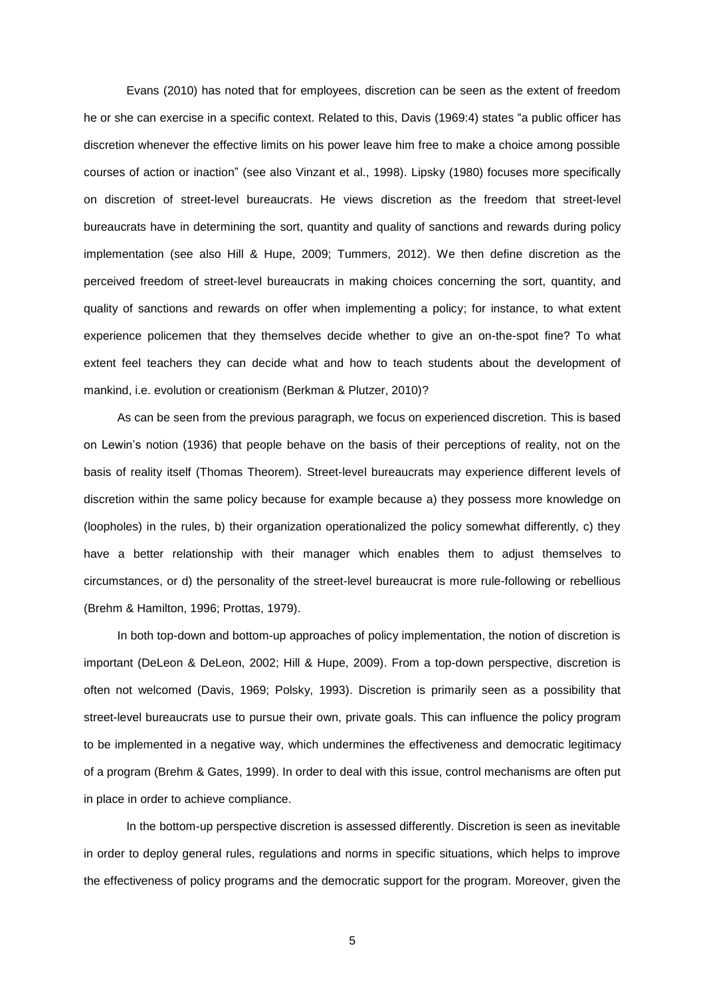Evans (2010) has noted that for employees, discretion can be seen as the extent of freedom he or she can exercise in a specific context. Related to this, Davis (1969:4) states "a public officer has discretion whenever the effective limits on his power leave him free to make a choice among possible courses of action or inaction" (see also Vinzant et al., 1998). Lipsky (1980) focuses more specifically on discretion of street-level bureaucrats. He views discretion as the freedom that street-level bureaucrats have in determining the sort, quantity and quality of sanctions and rewards during policy implementation (see also Hill & Hupe, 2009; Tummers, 2012). We then define discretion as the perceived freedom of street-level bureaucrats in making choices concerning the sort, quantity, and quality of sanctions and rewards on offer when implementing a policy; for instance, to what extent experience policemen that they themselves decide whether to give an on-the-spot fine? To what extent feel teachers they can decide what and how to teach students about the development of mankind, i.e. evolution or creationism (Berkman & Plutzer, 2010)?

As can be seen from the previous paragraph, we focus on experienced discretion. This is based on Lewin's notion (1936) that people behave on the basis of their perceptions of reality, not on the basis of reality itself (Thomas Theorem). Street-level bureaucrats may experience different levels of discretion within the same policy because for example because a) they possess more knowledge on (loopholes) in the rules, b) their organization operationalized the policy somewhat differently, c) they have a better relationship with their manager which enables them to adjust themselves to circumstances, or d) the personality of the street-level bureaucrat is more rule-following or rebellious (Brehm & Hamilton, 1996; Prottas, 1979).

In both top-down and bottom-up approaches of policy implementation, the notion of discretion is important (DeLeon & DeLeon, 2002; Hill & Hupe, 2009). From a top-down perspective, discretion is often not welcomed (Davis, 1969; Polsky, 1993). Discretion is primarily seen as a possibility that street-level bureaucrats use to pursue their own, private goals. This can influence the policy program to be implemented in a negative way, which undermines the effectiveness and democratic legitimacy of a program (Brehm & Gates, 1999). In order to deal with this issue, control mechanisms are often put in place in order to achieve compliance.

In the bottom-up perspective discretion is assessed differently. Discretion is seen as inevitable in order to deploy general rules, regulations and norms in specific situations, which helps to improve the effectiveness of policy programs and the democratic support for the program. Moreover, given the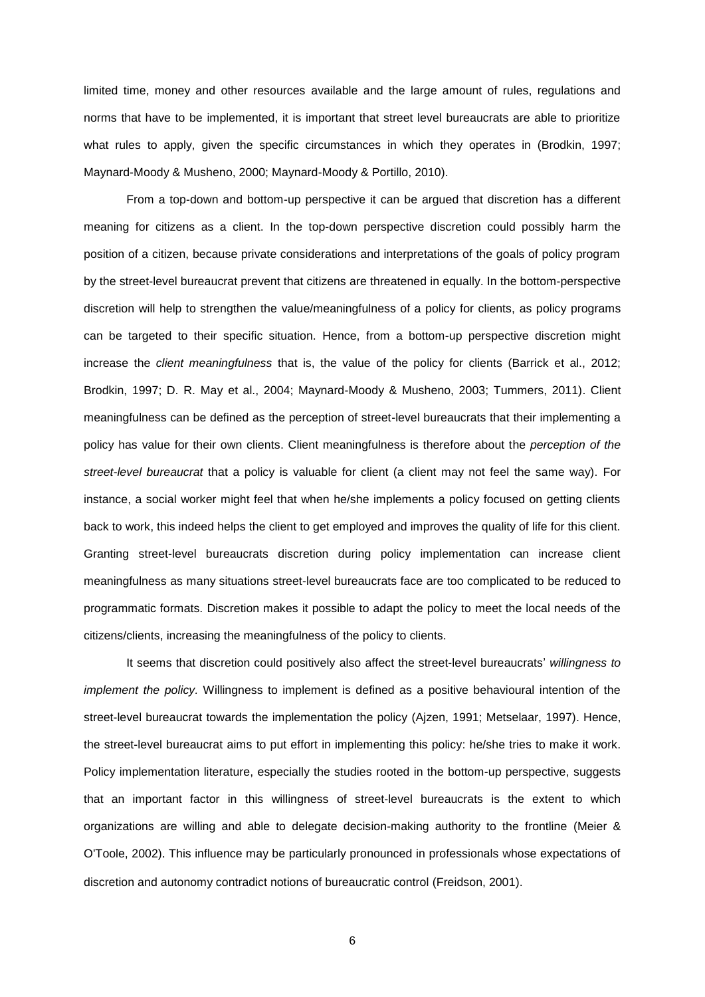limited time, money and other resources available and the large amount of rules, regulations and norms that have to be implemented, it is important that street level bureaucrats are able to prioritize what rules to apply, given the specific circumstances in which they operates in (Brodkin, 1997; Maynard-Moody & Musheno, 2000; Maynard-Moody & Portillo, 2010).

From a top-down and bottom-up perspective it can be argued that discretion has a different meaning for citizens as a client. In the top-down perspective discretion could possibly harm the position of a citizen, because private considerations and interpretations of the goals of policy program by the street-level bureaucrat prevent that citizens are threatened in equally. In the bottom-perspective discretion will help to strengthen the value/meaningfulness of a policy for clients, as policy programs can be targeted to their specific situation. Hence, from a bottom-up perspective discretion might increase the *client meaningfulness* that is, the value of the policy for clients (Barrick et al., 2012; Brodkin, 1997; D. R. May et al., 2004; Maynard-Moody & Musheno, 2003; Tummers, 2011). Client meaningfulness can be defined as the perception of street-level bureaucrats that their implementing a policy has value for their own clients. Client meaningfulness is therefore about the *perception of the street-level bureaucrat* that a policy is valuable for client (a client may not feel the same way). For instance, a social worker might feel that when he/she implements a policy focused on getting clients back to work, this indeed helps the client to get employed and improves the quality of life for this client. Granting street-level bureaucrats discretion during policy implementation can increase client meaningfulness as many situations street-level bureaucrats face are too complicated to be reduced to programmatic formats. Discretion makes it possible to adapt the policy to meet the local needs of the citizens/clients, increasing the meaningfulness of the policy to clients.

It seems that discretion could positively also affect the street-level bureaucrats' *willingness to implement the policy.* Willingness to implement is defined as a positive behavioural intention of the street-level bureaucrat towards the implementation the policy (Ajzen, 1991; Metselaar, 1997). Hence, the street-level bureaucrat aims to put effort in implementing this policy: he/she tries to make it work. Policy implementation literature, especially the studies rooted in the bottom-up perspective, suggests that an important factor in this willingness of street-level bureaucrats is the extent to which organizations are willing and able to delegate decision-making authority to the frontline (Meier & O'Toole, 2002). This influence may be particularly pronounced in professionals whose expectations of discretion and autonomy contradict notions of bureaucratic control (Freidson, 2001).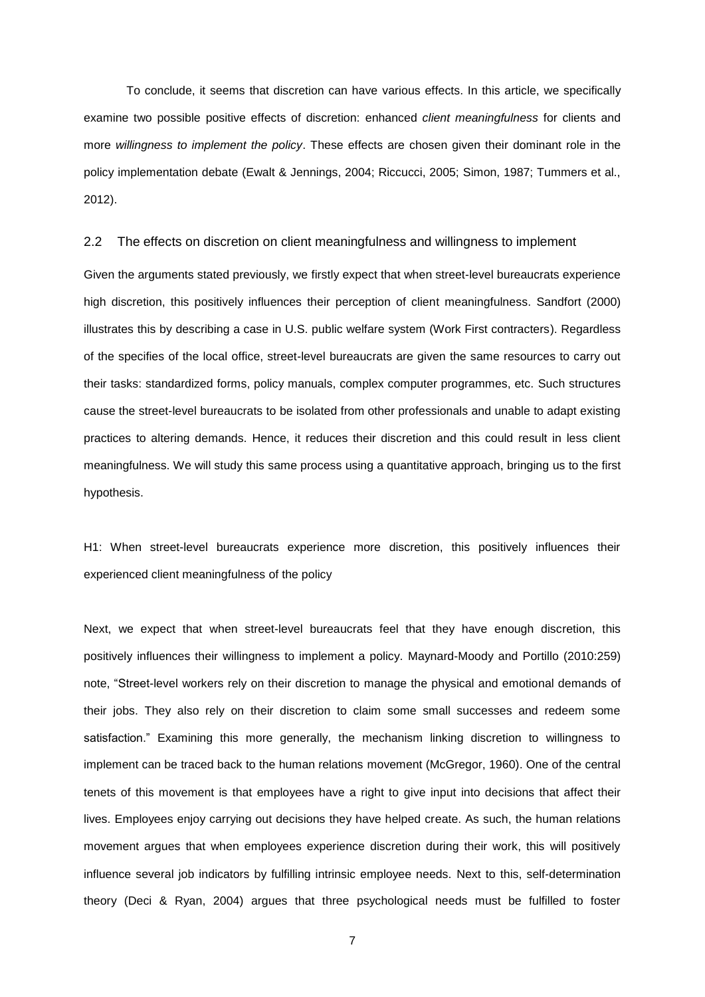To conclude, it seems that discretion can have various effects. In this article, we specifically examine two possible positive effects of discretion: enhanced *client meaningfulness* for clients and more *willingness to implement the policy*. These effects are chosen given their dominant role in the policy implementation debate (Ewalt & Jennings, 2004; Riccucci, 2005; Simon, 1987; Tummers et al., 2012).

### 2.2 The effects on discretion on client meaningfulness and willingness to implement

Given the arguments stated previously, we firstly expect that when street-level bureaucrats experience high discretion, this positively influences their perception of client meaningfulness. Sandfort (2000) illustrates this by describing a case in U.S. public welfare system (Work First contracters). Regardless of the specifies of the local office, street-level bureaucrats are given the same resources to carry out their tasks: standardized forms, policy manuals, complex computer programmes, etc. Such structures cause the street-level bureaucrats to be isolated from other professionals and unable to adapt existing practices to altering demands. Hence, it reduces their discretion and this could result in less client meaningfulness. We will study this same process using a quantitative approach, bringing us to the first hypothesis.

H1: When street-level bureaucrats experience more discretion, this positively influences their experienced client meaningfulness of the policy

Next, we expect that when street-level bureaucrats feel that they have enough discretion, this positively influences their willingness to implement a policy. Maynard-Moody and Portillo (2010:259) note, "Street-level workers rely on their discretion to manage the physical and emotional demands of their jobs. They also rely on their discretion to claim some small successes and redeem some satisfaction." Examining this more generally, the mechanism linking discretion to willingness to implement can be traced back to the human relations movement (McGregor, 1960). One of the central tenets of this movement is that employees have a right to give input into decisions that affect their lives. Employees enjoy carrying out decisions they have helped create. As such, the human relations movement argues that when employees experience discretion during their work, this will positively influence several job indicators by fulfilling intrinsic employee needs. Next to this, self-determination theory (Deci & Ryan, 2004) argues that three psychological needs must be fulfilled to foster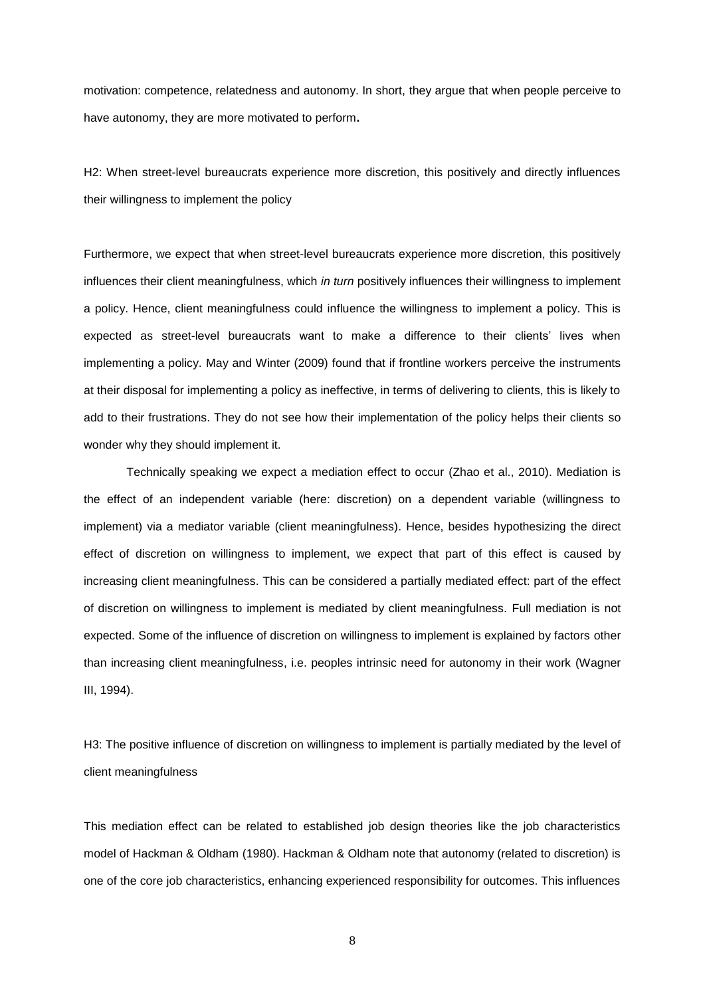motivation: competence, relatedness and autonomy. In short, they argue that when people perceive to have autonomy, they are more motivated to perform**.**

H2: When street-level bureaucrats experience more discretion, this positively and directly influences their willingness to implement the policy

Furthermore, we expect that when street-level bureaucrats experience more discretion, this positively influences their client meaningfulness, which *in turn* positively influences their willingness to implement a policy. Hence, client meaningfulness could influence the willingness to implement a policy. This is expected as street-level bureaucrats want to make a difference to their clients' lives when implementing a policy. May and Winter (2009) found that if frontline workers perceive the instruments at their disposal for implementing a policy as ineffective, in terms of delivering to clients, this is likely to add to their frustrations. They do not see how their implementation of the policy helps their clients so wonder why they should implement it.

Technically speaking we expect a mediation effect to occur (Zhao et al., 2010). Mediation is the effect of an independent variable (here: discretion) on a dependent variable (willingness to implement) via a mediator variable (client meaningfulness). Hence, besides hypothesizing the direct effect of discretion on willingness to implement, we expect that part of this effect is caused by increasing client meaningfulness. This can be considered a partially mediated effect: part of the effect of discretion on willingness to implement is mediated by client meaningfulness. Full mediation is not expected. Some of the influence of discretion on willingness to implement is explained by factors other than increasing client meaningfulness, i.e. peoples intrinsic need for autonomy in their work (Wagner III, 1994).

H3: The positive influence of discretion on willingness to implement is partially mediated by the level of client meaningfulness

This mediation effect can be related to established job design theories like the job characteristics model of Hackman & Oldham (1980). Hackman & Oldham note that autonomy (related to discretion) is one of the core job characteristics, enhancing experienced responsibility for outcomes. This influences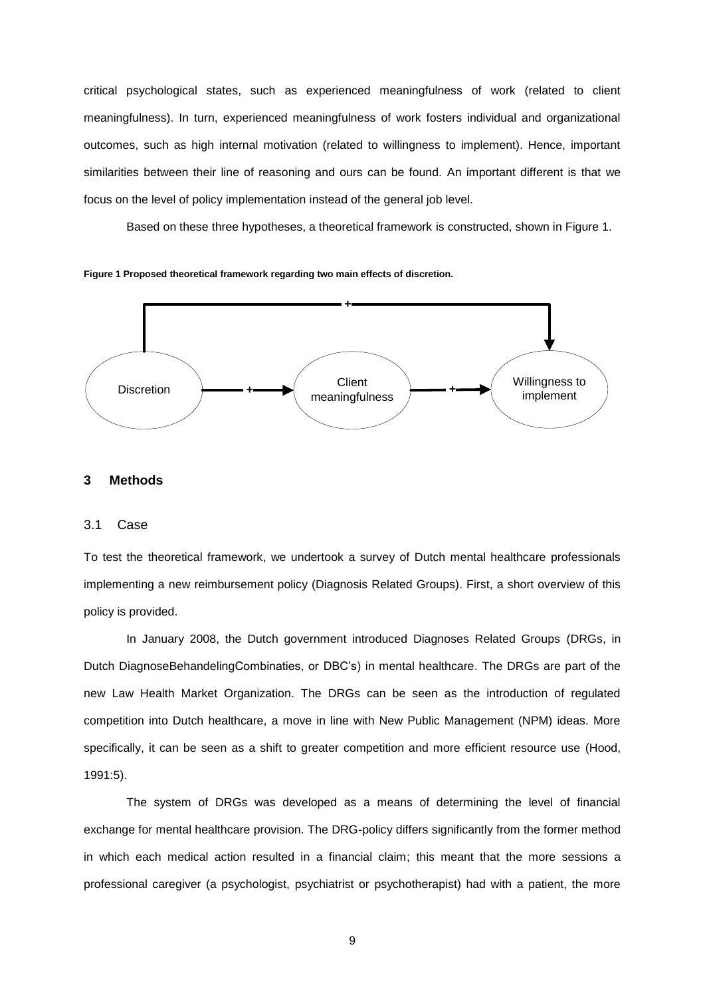critical psychological states, such as experienced meaningfulness of work (related to client meaningfulness). In turn, experienced meaningfulness of work fosters individual and organizational outcomes, such as high internal motivation (related to willingness to implement). Hence, important similarities between their line of reasoning and ours can be found. An important different is that we focus on the level of policy implementation instead of the general job level.

Based on these three hypotheses, a theoretical framework is constructed, shown in Figure 1.





# **3 Methods**

## 3.1 Case

To test the theoretical framework, we undertook a survey of Dutch mental healthcare professionals implementing a new reimbursement policy (Diagnosis Related Groups). First, a short overview of this policy is provided.

In January 2008, the Dutch government introduced Diagnoses Related Groups (DRGs, in Dutch DiagnoseBehandelingCombinaties, or DBC's) in mental healthcare. The DRGs are part of the new Law Health Market Organization. The DRGs can be seen as the introduction of regulated competition into Dutch healthcare, a move in line with New Public Management (NPM) ideas. More specifically, it can be seen as a shift to greater competition and more efficient resource use (Hood, 1991:5).

The system of DRGs was developed as a means of determining the level of financial exchange for mental healthcare provision. The DRG-policy differs significantly from the former method in which each medical action resulted in a financial claim; this meant that the more sessions a professional caregiver (a psychologist, psychiatrist or psychotherapist) had with a patient, the more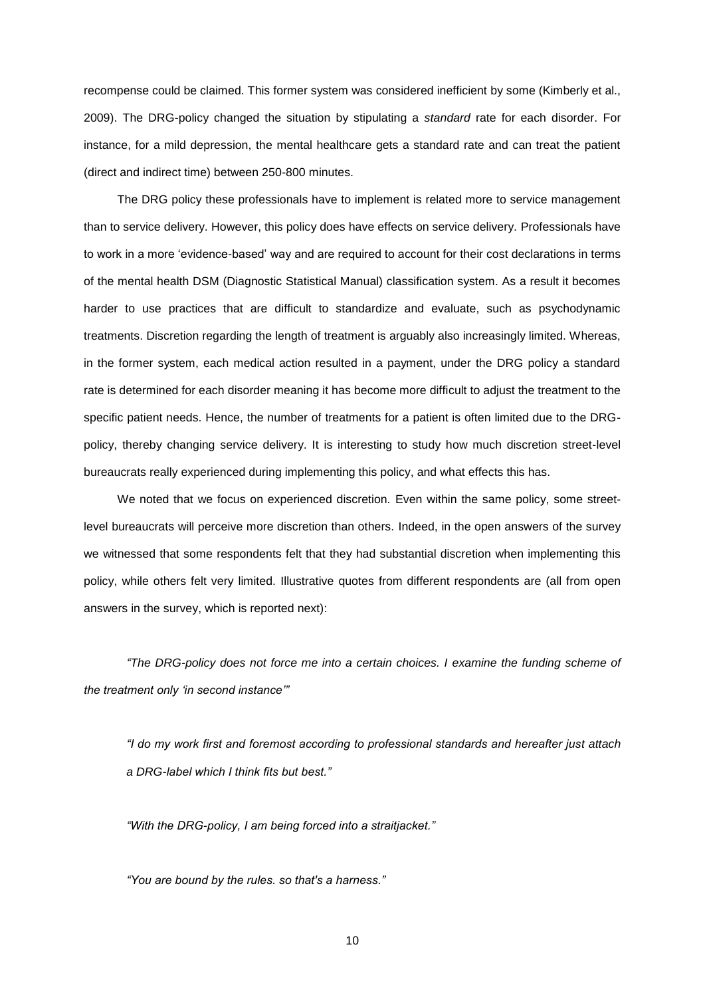recompense could be claimed. This former system was considered inefficient by some (Kimberly et al., 2009). The DRG-policy changed the situation by stipulating a *standard* rate for each disorder. For instance, for a mild depression, the mental healthcare gets a standard rate and can treat the patient (direct and indirect time) between 250-800 minutes.

The DRG policy these professionals have to implement is related more to service management than to service delivery. However, this policy does have effects on service delivery. Professionals have to work in a more 'evidence-based' way and are required to account for their cost declarations in terms of the mental health DSM (Diagnostic Statistical Manual) classification system. As a result it becomes harder to use practices that are difficult to standardize and evaluate, such as psychodynamic treatments. Discretion regarding the length of treatment is arguably also increasingly limited. Whereas, in the former system, each medical action resulted in a payment, under the DRG policy a standard rate is determined for each disorder meaning it has become more difficult to adjust the treatment to the specific patient needs. Hence, the number of treatments for a patient is often limited due to the DRGpolicy, thereby changing service delivery. It is interesting to study how much discretion street-level bureaucrats really experienced during implementing this policy, and what effects this has.

We noted that we focus on experienced discretion. Even within the same policy, some streetlevel bureaucrats will perceive more discretion than others. Indeed, in the open answers of the survey we witnessed that some respondents felt that they had substantial discretion when implementing this policy, while others felt very limited. Illustrative quotes from different respondents are (all from open answers in the survey, which is reported next):

*"The DRG-policy does not force me into a certain choices. I examine the funding scheme of the treatment only 'in second instance'"*

*"I do my work first and foremost according to professional standards and hereafter just attach a DRG-label which I think fits but best."*

*"With the DRG-policy, I am being forced into a straitjacket."*

*"You are bound by the rules. so that's a harness."*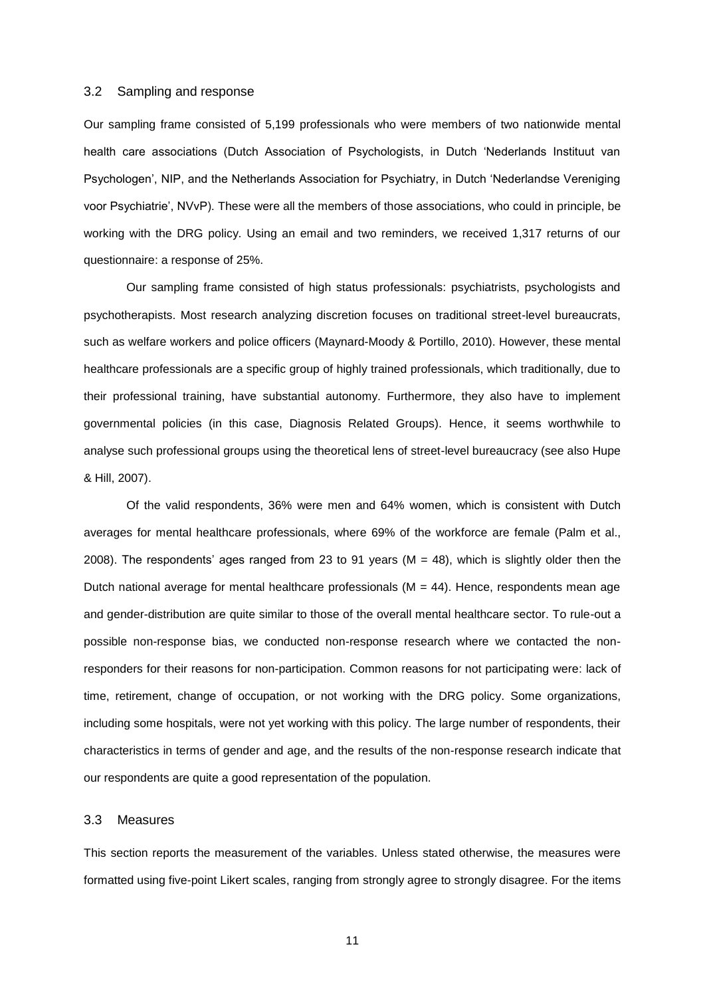# 3.2 Sampling and response

Our sampling frame consisted of 5,199 professionals who were members of two nationwide mental health care associations (Dutch Association of Psychologists, in Dutch 'Nederlands Instituut van Psychologen', NIP, and the Netherlands Association for Psychiatry, in Dutch 'Nederlandse Vereniging voor Psychiatrie', NVvP). These were all the members of those associations, who could in principle, be working with the DRG policy. Using an email and two reminders, we received 1,317 returns of our questionnaire: a response of 25%.

Our sampling frame consisted of high status professionals: psychiatrists, psychologists and psychotherapists. Most research analyzing discretion focuses on traditional street-level bureaucrats, such as welfare workers and police officers (Maynard-Moody & Portillo, 2010). However, these mental healthcare professionals are a specific group of highly trained professionals, which traditionally, due to their professional training, have substantial autonomy. Furthermore, they also have to implement governmental policies (in this case, Diagnosis Related Groups). Hence, it seems worthwhile to analyse such professional groups using the theoretical lens of street-level bureaucracy (see also Hupe & Hill, 2007).

Of the valid respondents, 36% were men and 64% women, which is consistent with Dutch averages for mental healthcare professionals, where 69% of the workforce are female (Palm et al., 2008). The respondents' ages ranged from 23 to 91 years ( $M = 48$ ), which is slightly older then the Dutch national average for mental healthcare professionals ( $M = 44$ ). Hence, respondents mean age and gender-distribution are quite similar to those of the overall mental healthcare sector. To rule-out a possible non-response bias, we conducted non-response research where we contacted the nonresponders for their reasons for non-participation. Common reasons for not participating were: lack of time, retirement, change of occupation, or not working with the DRG policy. Some organizations, including some hospitals, were not yet working with this policy. The large number of respondents, their characteristics in terms of gender and age, and the results of the non-response research indicate that our respondents are quite a good representation of the population.

#### 3.3 Measures

This section reports the measurement of the variables. Unless stated otherwise, the measures were formatted using five-point Likert scales, ranging from strongly agree to strongly disagree. For the items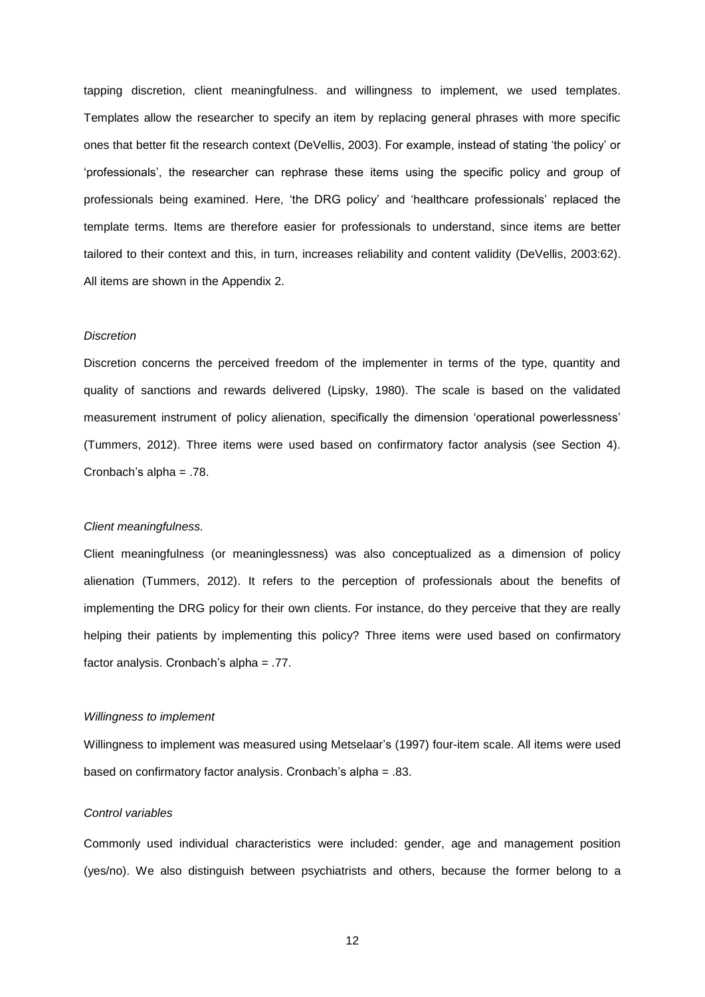tapping discretion, client meaningfulness. and willingness to implement, we used templates. Templates allow the researcher to specify an item by replacing general phrases with more specific ones that better fit the research context (DeVellis, 2003). For example, instead of stating 'the policy' or 'professionals', the researcher can rephrase these items using the specific policy and group of professionals being examined. Here, 'the DRG policy' and 'healthcare professionals' replaced the template terms. Items are therefore easier for professionals to understand, since items are better tailored to their context and this, in turn, increases reliability and content validity (DeVellis, 2003:62). All items are shown in the Appendix 2.

#### *Discretion*

Discretion concerns the perceived freedom of the implementer in terms of the type, quantity and quality of sanctions and rewards delivered (Lipsky, 1980). The scale is based on the validated measurement instrument of policy alienation, specifically the dimension 'operational powerlessness' (Tummers, 2012). Three items were used based on confirmatory factor analysis (see Section 4). Cronbach's alpha = .78.

#### *Client meaningfulness.*

Client meaningfulness (or meaninglessness) was also conceptualized as a dimension of policy alienation (Tummers, 2012). It refers to the perception of professionals about the benefits of implementing the DRG policy for their own clients. For instance, do they perceive that they are really helping their patients by implementing this policy? Three items were used based on confirmatory factor analysis. Cronbach's alpha = .77.

#### *Willingness to implement*

Willingness to implement was measured using Metselaar's (1997) four-item scale. All items were used based on confirmatory factor analysis. Cronbach's alpha = .83.

## *Control variables*

Commonly used individual characteristics were included: gender, age and management position (yes/no). We also distinguish between psychiatrists and others, because the former belong to a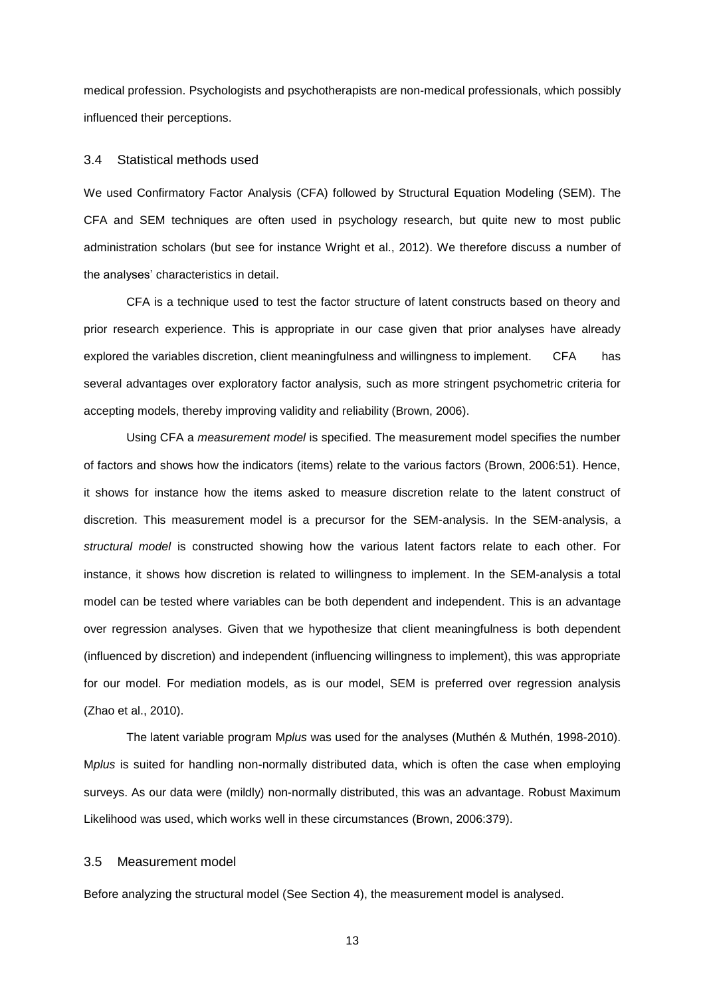medical profession. Psychologists and psychotherapists are non-medical professionals, which possibly influenced their perceptions.

#### 3.4 Statistical methods used

We used Confirmatory Factor Analysis (CFA) followed by Structural Equation Modeling (SEM). The CFA and SEM techniques are often used in psychology research, but quite new to most public administration scholars (but see for instance Wright et al., 2012). We therefore discuss a number of the analyses' characteristics in detail.

CFA is a technique used to test the factor structure of latent constructs based on theory and prior research experience. This is appropriate in our case given that prior analyses have already explored the variables discretion, client meaningfulness and willingness to implement. CFA has several advantages over exploratory factor analysis, such as more stringent psychometric criteria for accepting models, thereby improving validity and reliability (Brown, 2006).

Using CFA a *measurement model* is specified. The measurement model specifies the number of factors and shows how the indicators (items) relate to the various factors (Brown, 2006:51). Hence, it shows for instance how the items asked to measure discretion relate to the latent construct of discretion. This measurement model is a precursor for the SEM-analysis. In the SEM-analysis, a *structural model* is constructed showing how the various latent factors relate to each other. For instance, it shows how discretion is related to willingness to implement. In the SEM-analysis a total model can be tested where variables can be both dependent and independent. This is an advantage over regression analyses. Given that we hypothesize that client meaningfulness is both dependent (influenced by discretion) and independent (influencing willingness to implement), this was appropriate for our model. For mediation models, as is our model, SEM is preferred over regression analysis (Zhao et al., 2010).

The latent variable program M*plus* was used for the analyses (Muthén & Muthén, 1998-2010). M*plus* is suited for handling non-normally distributed data, which is often the case when employing surveys. As our data were (mildly) non-normally distributed, this was an advantage. Robust Maximum Likelihood was used, which works well in these circumstances (Brown, 2006:379).

## 3.5 Measurement model

Before analyzing the structural model (See Section 4), the measurement model is analysed.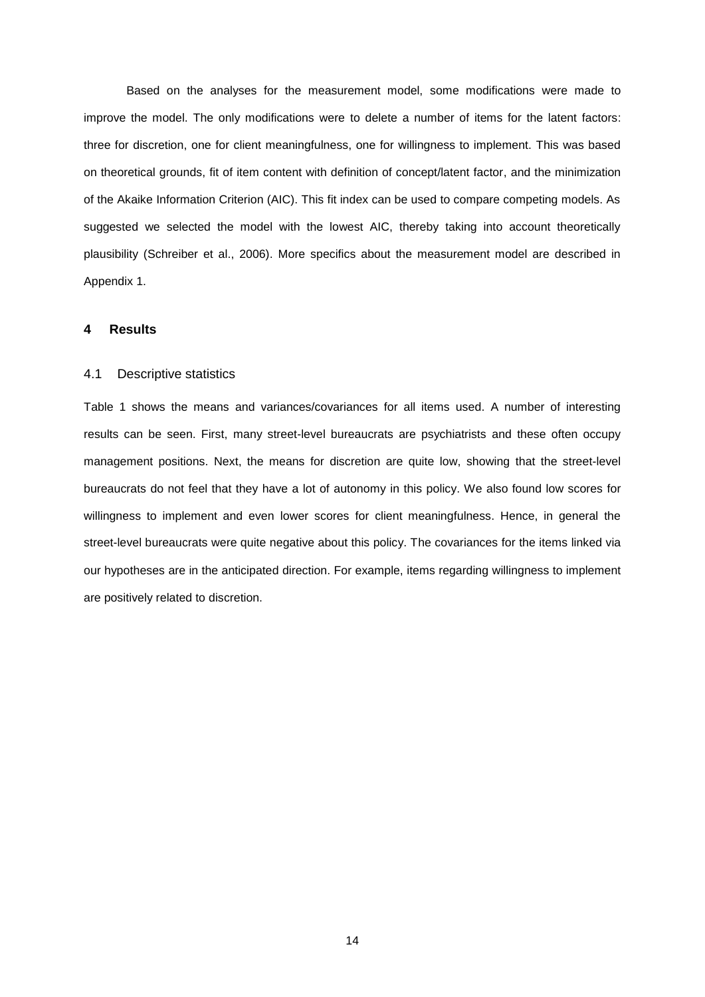Based on the analyses for the measurement model, some modifications were made to improve the model. The only modifications were to delete a number of items for the latent factors: three for discretion, one for client meaningfulness, one for willingness to implement. This was based on theoretical grounds, fit of item content with definition of concept/latent factor, and the minimization of the Akaike Information Criterion (AIC). This fit index can be used to compare competing models. As suggested we selected the model with the lowest AIC, thereby taking into account theoretically plausibility (Schreiber et al., 2006). More specifics about the measurement model are described in Appendix 1.

# **4 Results**

## 4.1 Descriptive statistics

Table 1 shows the means and variances/covariances for all items used. A number of interesting results can be seen. First, many street-level bureaucrats are psychiatrists and these often occupy management positions. Next, the means for discretion are quite low, showing that the street-level bureaucrats do not feel that they have a lot of autonomy in this policy. We also found low scores for willingness to implement and even lower scores for client meaningfulness. Hence, in general the street-level bureaucrats were quite negative about this policy. The covariances for the items linked via our hypotheses are in the anticipated direction. For example, items regarding willingness to implement are positively related to discretion.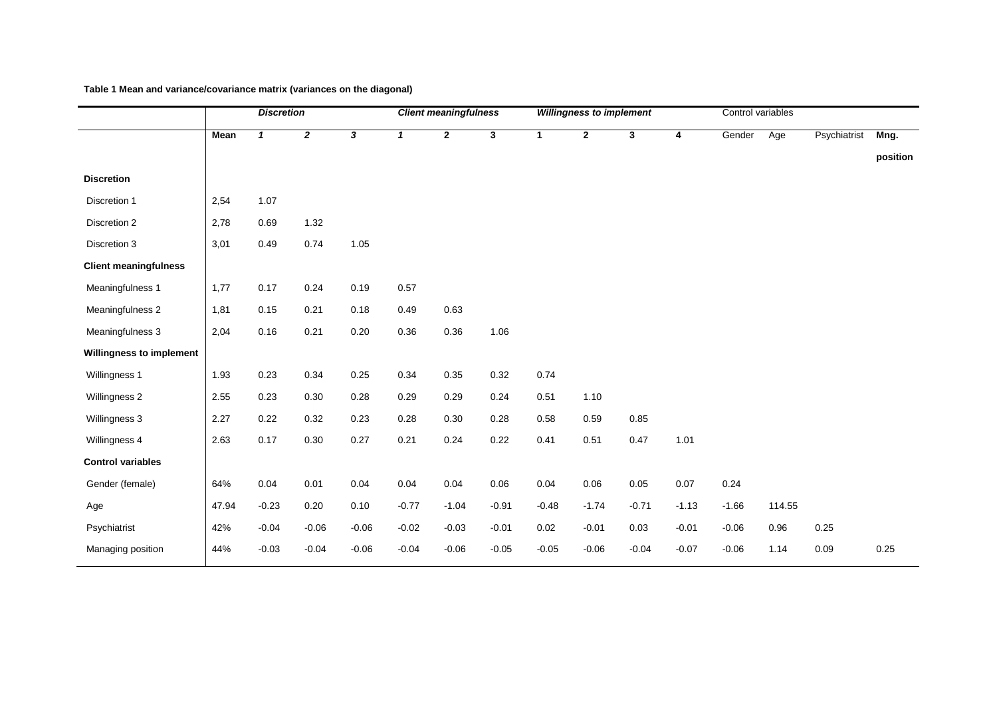# **Table 1 Mean and variance/covariance matrix (variances on the diagonal)**

|                                 | <b>Discretion</b> |              |              |              | <b>Client meaningfulness</b> |              |              | <b>Willingness to implement</b> |              |         |         | Control variables |        |              |          |
|---------------------------------|-------------------|--------------|--------------|--------------|------------------------------|--------------|--------------|---------------------------------|--------------|---------|---------|-------------------|--------|--------------|----------|
|                                 | <b>Mean</b>       | $\mathbf{1}$ | $\mathbf{2}$ | $\mathbf{3}$ | $\mathbf{1}$                 | $\mathbf{2}$ | $\mathbf{3}$ | $\mathbf{1}$                    | $\mathbf{2}$ | 3       | 4       | Gender            | Age    | Psychiatrist | Mng.     |
|                                 |                   |              |              |              |                              |              |              |                                 |              |         |         |                   |        |              | position |
| <b>Discretion</b>               |                   |              |              |              |                              |              |              |                                 |              |         |         |                   |        |              |          |
| Discretion 1                    | 2,54              | 1.07         |              |              |                              |              |              |                                 |              |         |         |                   |        |              |          |
| Discretion 2                    | 2,78              | 0.69         | 1.32         |              |                              |              |              |                                 |              |         |         |                   |        |              |          |
| Discretion 3                    | 3,01              | 0.49         | 0.74         | 1.05         |                              |              |              |                                 |              |         |         |                   |        |              |          |
| <b>Client meaningfulness</b>    |                   |              |              |              |                              |              |              |                                 |              |         |         |                   |        |              |          |
| Meaningfulness 1                | 1,77              | 0.17         | 0.24         | 0.19         | 0.57                         |              |              |                                 |              |         |         |                   |        |              |          |
| Meaningfulness 2                | 1,81              | 0.15         | 0.21         | 0.18         | 0.49                         | 0.63         |              |                                 |              |         |         |                   |        |              |          |
| Meaningfulness 3                | 2,04              | 0.16         | 0.21         | 0.20         | 0.36                         | 0.36         | 1.06         |                                 |              |         |         |                   |        |              |          |
| <b>Willingness to implement</b> |                   |              |              |              |                              |              |              |                                 |              |         |         |                   |        |              |          |
| Willingness 1                   | 1.93              | 0.23         | 0.34         | 0.25         | 0.34                         | 0.35         | 0.32         | 0.74                            |              |         |         |                   |        |              |          |
| Willingness 2                   | 2.55              | 0.23         | 0.30         | 0.28         | 0.29                         | 0.29         | 0.24         | 0.51                            | 1.10         |         |         |                   |        |              |          |
| Willingness 3                   | 2.27              | 0.22         | 0.32         | 0.23         | 0.28                         | 0.30         | 0.28         | 0.58                            | 0.59         | 0.85    |         |                   |        |              |          |
| Willingness 4                   | 2.63              | 0.17         | 0.30         | 0.27         | 0.21                         | 0.24         | 0.22         | 0.41                            | 0.51         | 0.47    | 1.01    |                   |        |              |          |
| <b>Control variables</b>        |                   |              |              |              |                              |              |              |                                 |              |         |         |                   |        |              |          |
| Gender (female)                 | 64%               | 0.04         | 0.01         | 0.04         | 0.04                         | 0.04         | 0.06         | 0.04                            | 0.06         | 0.05    | 0.07    | 0.24              |        |              |          |
| Age                             | 47.94             | $-0.23$      | 0.20         | 0.10         | $-0.77$                      | $-1.04$      | $-0.91$      | $-0.48$                         | $-1.74$      | $-0.71$ | $-1.13$ | $-1.66$           | 114.55 |              |          |
| Psychiatrist                    | 42%               | $-0.04$      | $-0.06$      | $-0.06$      | $-0.02$                      | $-0.03$      | $-0.01$      | 0.02                            | $-0.01$      | 0.03    | $-0.01$ | $-0.06$           | 0.96   | 0.25         |          |
| Managing position               | 44%               | $-0.03$      | $-0.04$      | $-0.06$      | $-0.04$                      | $-0.06$      | $-0.05$      | $-0.05$                         | $-0.06$      | $-0.04$ | $-0.07$ | $-0.06$           | 1.14   | 0.09         | 0.25     |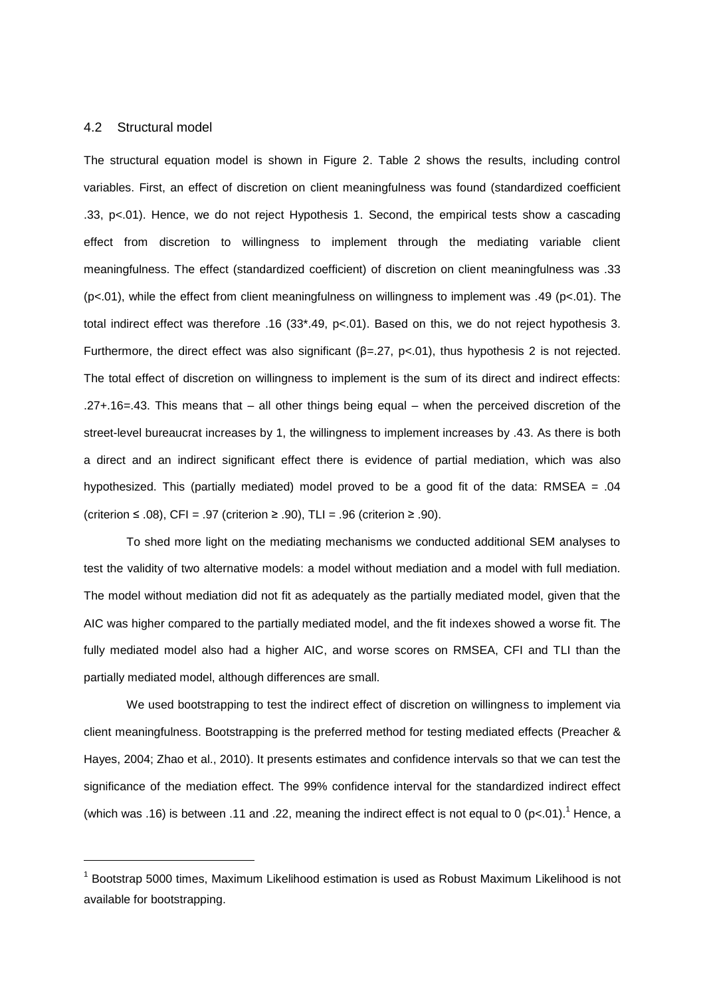# 4.2 Structural model

-

The structural equation model is shown in Figure 2. Table 2 shows the results, including control variables. First, an effect of discretion on client meaningfulness was found (standardized coefficient .33, p<.01). Hence, we do not reject Hypothesis 1. Second, the empirical tests show a cascading effect from discretion to willingness to implement through the mediating variable client meaningfulness. The effect (standardized coefficient) of discretion on client meaningfulness was .33 (p<.01), while the effect from client meaningfulness on willingness to implement was .49 (p<.01). The total indirect effect was therefore .16 (33\*.49, p<.01). Based on this, we do not reject hypothesis 3. Furthermore, the direct effect was also significant (β=.27, p<.01), thus hypothesis 2 is not rejected. The total effect of discretion on willingness to implement is the sum of its direct and indirect effects: .27+.16=.43. This means that – all other things being equal – when the perceived discretion of the street-level bureaucrat increases by 1, the willingness to implement increases by .43. As there is both a direct and an indirect significant effect there is evidence of partial mediation, which was also hypothesized. This (partially mediated) model proved to be a good fit of the data: RMSEA = .04 (criterion ≤ .08), CFI = .97 (criterion ≥ .90), TLI = .96 (criterion ≥ .90).

To shed more light on the mediating mechanisms we conducted additional SEM analyses to test the validity of two alternative models: a model without mediation and a model with full mediation. The model without mediation did not fit as adequately as the partially mediated model, given that the AIC was higher compared to the partially mediated model, and the fit indexes showed a worse fit. The fully mediated model also had a higher AIC, and worse scores on RMSEA, CFI and TLI than the partially mediated model, although differences are small.

We used bootstrapping to test the indirect effect of discretion on willingness to implement via client meaningfulness. Bootstrapping is the preferred method for testing mediated effects (Preacher & Hayes, 2004; Zhao et al., 2010). It presents estimates and confidence intervals so that we can test the significance of the mediation effect. The 99% confidence interval for the standardized indirect effect (which was .16) is between .11 and .22, meaning the indirect effect is not equal to 0 (p<.01).<sup>1</sup> Hence, a

<sup>&</sup>lt;sup>1</sup> Bootstrap 5000 times, Maximum Likelihood estimation is used as Robust Maximum Likelihood is not available for bootstrapping.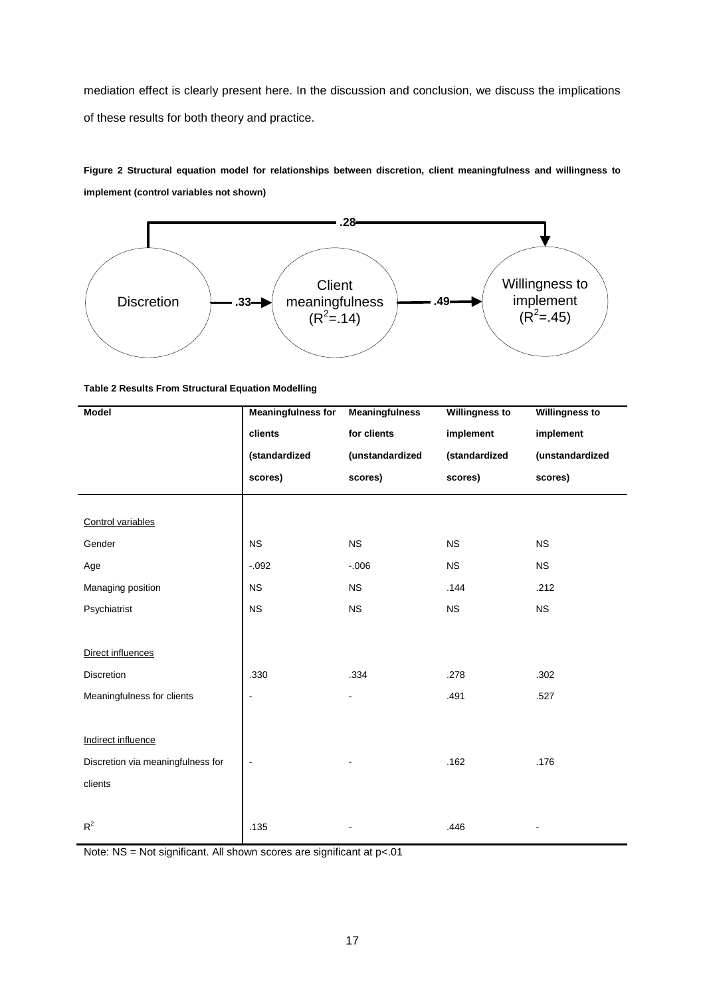mediation effect is clearly present here. In the discussion and conclusion, we discuss the implications of these results for both theory and practice.

**Figure 2 Structural equation model for relationships between discretion, client meaningfulness and willingness to implement (control variables not shown)**



## **Table 2 Results From Structural Equation Modelling**

| <b>Model</b>                      | <b>Meaningfulness for</b> | <b>Meaningfulness</b>        | <b>Willingness to</b> | <b>Willingness to</b> |  |  |
|-----------------------------------|---------------------------|------------------------------|-----------------------|-----------------------|--|--|
|                                   | clients                   | for clients                  | implement             | implement             |  |  |
|                                   | (standardized             | (unstandardized              | (standardized         | (unstandardized       |  |  |
|                                   | scores)                   | scores)                      | scores)               | scores)               |  |  |
|                                   |                           |                              |                       |                       |  |  |
| Control variables                 |                           |                              |                       |                       |  |  |
| Gender                            | <b>NS</b>                 | <b>NS</b>                    | NS                    | <b>NS</b>             |  |  |
| Age                               | $-0.092$                  | $-0.06$                      | <b>NS</b>             | <b>NS</b>             |  |  |
| Managing position                 | <b>NS</b>                 | <b>NS</b>                    | .144                  | .212                  |  |  |
| Psychiatrist                      | <b>NS</b>                 | <b>NS</b>                    | NS                    | <b>NS</b>             |  |  |
|                                   |                           |                              |                       |                       |  |  |
| Direct influences                 |                           |                              |                       |                       |  |  |
| Discretion                        | .330                      | .334                         | .278                  | .302                  |  |  |
| Meaningfulness for clients        | $\overline{a}$            | $\qquad \qquad \blacksquare$ | .491                  | .527                  |  |  |
|                                   |                           |                              |                       |                       |  |  |
| Indirect influence                |                           |                              |                       |                       |  |  |
| Discretion via meaningfulness for | $\blacksquare$            |                              | .162                  | .176                  |  |  |
| clients                           |                           |                              |                       |                       |  |  |
|                                   |                           |                              |                       |                       |  |  |
| $R^2$                             | .135                      |                              | .446                  |                       |  |  |

Note: NS = Not significant. All shown scores are significant at p<.01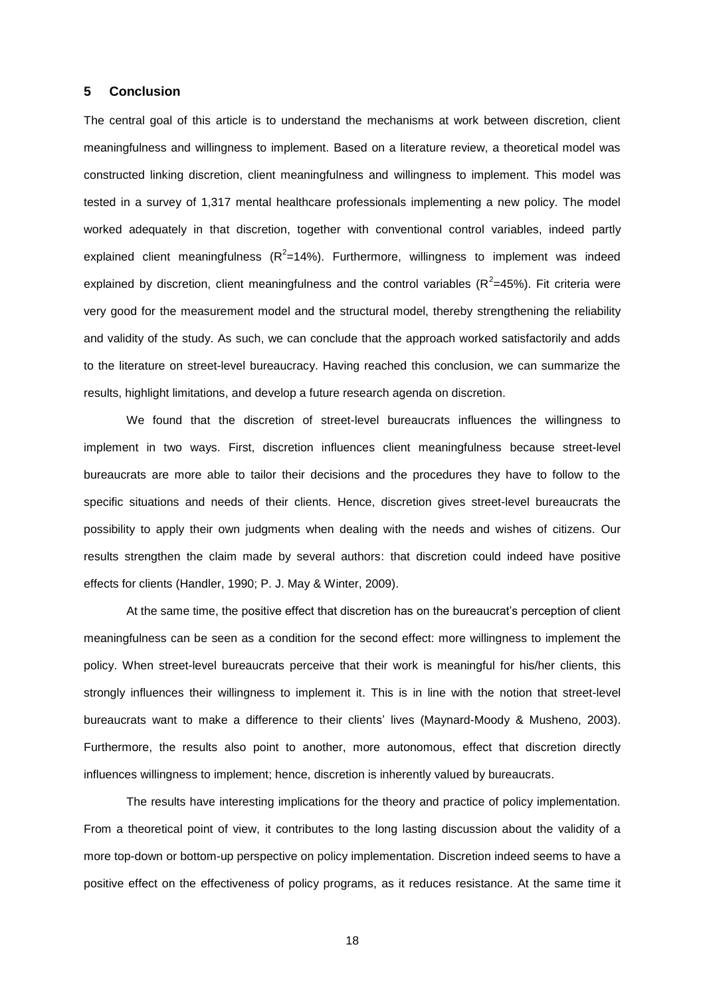# **5 Conclusion**

The central goal of this article is to understand the mechanisms at work between discretion, client meaningfulness and willingness to implement. Based on a literature review, a theoretical model was constructed linking discretion, client meaningfulness and willingness to implement. This model was tested in a survey of 1,317 mental healthcare professionals implementing a new policy. The model worked adequately in that discretion, together with conventional control variables, indeed partly explained client meaningfulness ( $R^2$ =14%). Furthermore, willingness to implement was indeed explained by discretion, client meaningfulness and the control variables ( $R^2$ =45%). Fit criteria were very good for the measurement model and the structural model, thereby strengthening the reliability and validity of the study. As such, we can conclude that the approach worked satisfactorily and adds to the literature on street-level bureaucracy. Having reached this conclusion, we can summarize the results, highlight limitations, and develop a future research agenda on discretion.

We found that the discretion of street-level bureaucrats influences the willingness to implement in two ways. First, discretion influences client meaningfulness because street-level bureaucrats are more able to tailor their decisions and the procedures they have to follow to the specific situations and needs of their clients. Hence, discretion gives street-level bureaucrats the possibility to apply their own judgments when dealing with the needs and wishes of citizens. Our results strengthen the claim made by several authors: that discretion could indeed have positive effects for clients (Handler, 1990; P. J. May & Winter, 2009).

At the same time, the positive effect that discretion has on the bureaucrat's perception of client meaningfulness can be seen as a condition for the second effect: more willingness to implement the policy. When street-level bureaucrats perceive that their work is meaningful for his/her clients, this strongly influences their willingness to implement it. This is in line with the notion that street-level bureaucrats want to make a difference to their clients' lives (Maynard-Moody & Musheno, 2003). Furthermore, the results also point to another, more autonomous, effect that discretion directly influences willingness to implement; hence, discretion is inherently valued by bureaucrats.

The results have interesting implications for the theory and practice of policy implementation. From a theoretical point of view, it contributes to the long lasting discussion about the validity of a more top-down or bottom-up perspective on policy implementation. Discretion indeed seems to have a positive effect on the effectiveness of policy programs, as it reduces resistance. At the same time it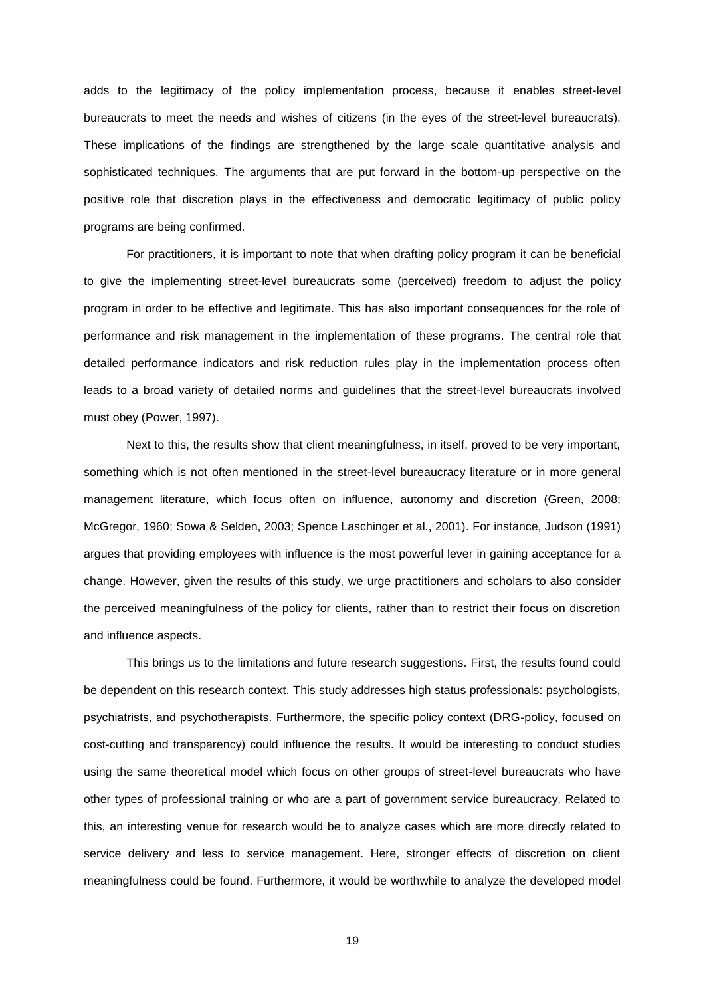adds to the legitimacy of the policy implementation process, because it enables street-level bureaucrats to meet the needs and wishes of citizens (in the eyes of the street-level bureaucrats). These implications of the findings are strengthened by the large scale quantitative analysis and sophisticated techniques. The arguments that are put forward in the bottom-up perspective on the positive role that discretion plays in the effectiveness and democratic legitimacy of public policy programs are being confirmed.

For practitioners, it is important to note that when drafting policy program it can be beneficial to give the implementing street-level bureaucrats some (perceived) freedom to adjust the policy program in order to be effective and legitimate. This has also important consequences for the role of performance and risk management in the implementation of these programs. The central role that detailed performance indicators and risk reduction rules play in the implementation process often leads to a broad variety of detailed norms and guidelines that the street-level bureaucrats involved must obey (Power, 1997).

Next to this, the results show that client meaningfulness, in itself, proved to be very important, something which is not often mentioned in the street-level bureaucracy literature or in more general management literature, which focus often on influence, autonomy and discretion (Green, 2008; McGregor, 1960; Sowa & Selden, 2003; Spence Laschinger et al., 2001). For instance, Judson (1991) argues that providing employees with influence is the most powerful lever in gaining acceptance for a change. However, given the results of this study, we urge practitioners and scholars to also consider the perceived meaningfulness of the policy for clients, rather than to restrict their focus on discretion and influence aspects.

This brings us to the limitations and future research suggestions. First, the results found could be dependent on this research context. This study addresses high status professionals: psychologists, psychiatrists, and psychotherapists. Furthermore, the specific policy context (DRG-policy, focused on cost-cutting and transparency) could influence the results. It would be interesting to conduct studies using the same theoretical model which focus on other groups of street-level bureaucrats who have other types of professional training or who are a part of government service bureaucracy. Related to this, an interesting venue for research would be to analyze cases which are more directly related to service delivery and less to service management. Here, stronger effects of discretion on client meaningfulness could be found. Furthermore, it would be worthwhile to analyze the developed model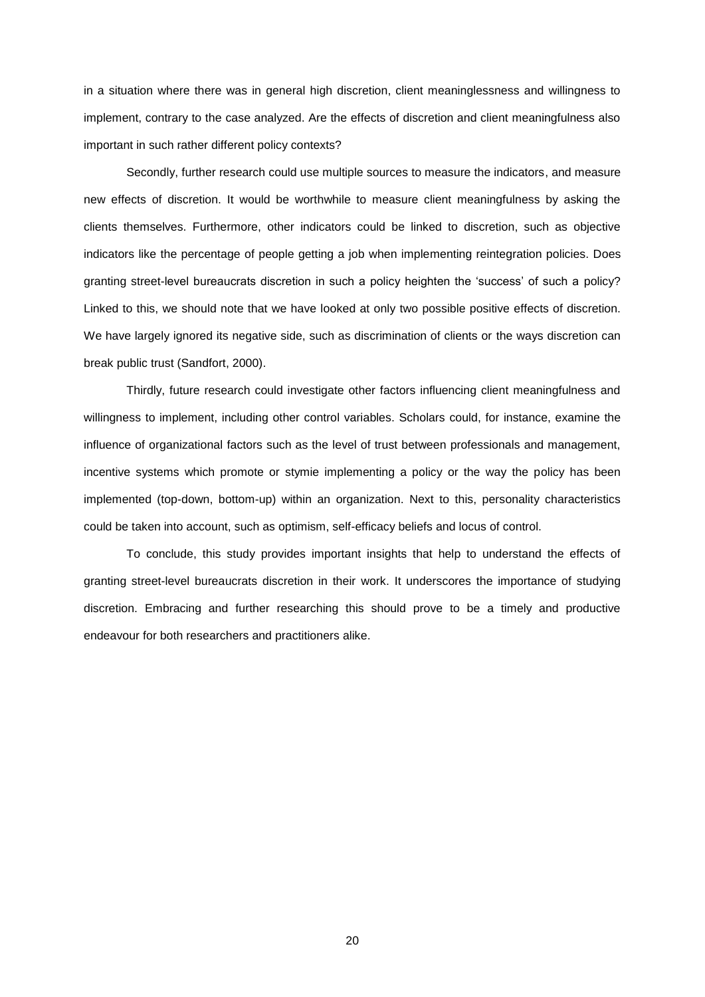in a situation where there was in general high discretion, client meaninglessness and willingness to implement, contrary to the case analyzed. Are the effects of discretion and client meaningfulness also important in such rather different policy contexts?

Secondly, further research could use multiple sources to measure the indicators, and measure new effects of discretion. It would be worthwhile to measure client meaningfulness by asking the clients themselves. Furthermore, other indicators could be linked to discretion, such as objective indicators like the percentage of people getting a job when implementing reintegration policies. Does granting street-level bureaucrats discretion in such a policy heighten the 'success' of such a policy? Linked to this, we should note that we have looked at only two possible positive effects of discretion. We have largely ignored its negative side, such as discrimination of clients or the ways discretion can break public trust (Sandfort, 2000).

Thirdly, future research could investigate other factors influencing client meaningfulness and willingness to implement, including other control variables. Scholars could, for instance, examine the influence of organizational factors such as the level of trust between professionals and management, incentive systems which promote or stymie implementing a policy or the way the policy has been implemented (top-down, bottom-up) within an organization. Next to this, personality characteristics could be taken into account, such as optimism, self-efficacy beliefs and locus of control.

To conclude, this study provides important insights that help to understand the effects of granting street-level bureaucrats discretion in their work. It underscores the importance of studying discretion. Embracing and further researching this should prove to be a timely and productive endeavour for both researchers and practitioners alike.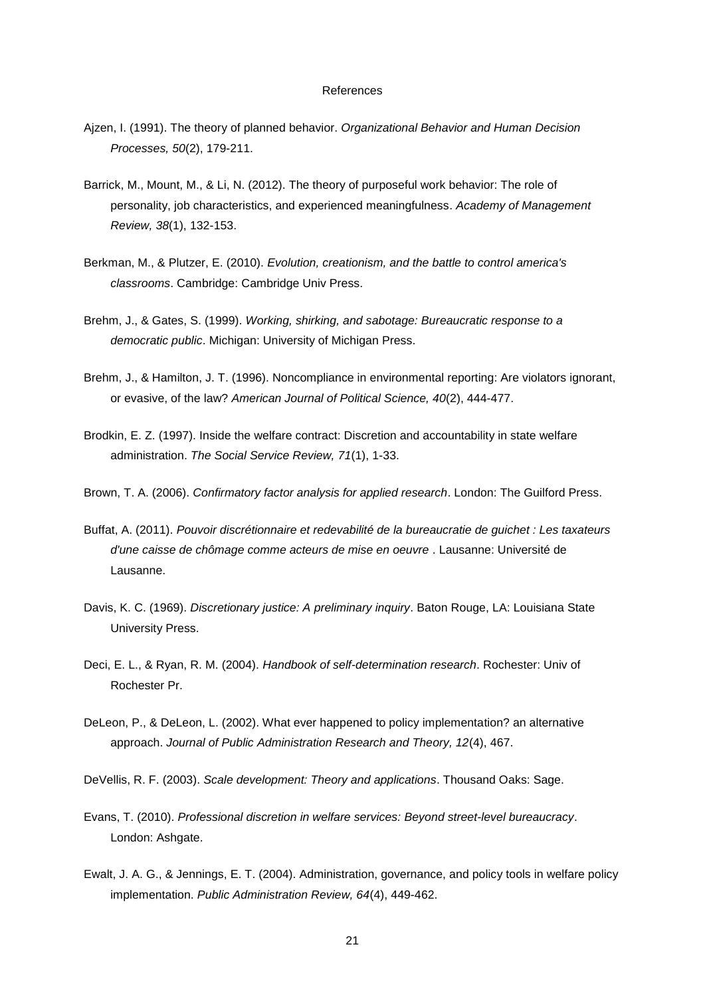#### References

- Ajzen, I. (1991). The theory of planned behavior. *Organizational Behavior and Human Decision Processes, 50*(2), 179-211.
- Barrick, M., Mount, M., & Li, N. (2012). The theory of purposeful work behavior: The role of personality, job characteristics, and experienced meaningfulness. *Academy of Management Review, 38*(1), 132-153.
- Berkman, M., & Plutzer, E. (2010). *Evolution, creationism, and the battle to control america's classrooms*. Cambridge: Cambridge Univ Press.
- Brehm, J., & Gates, S. (1999). *Working, shirking, and sabotage: Bureaucratic response to a democratic public*. Michigan: University of Michigan Press.
- Brehm, J., & Hamilton, J. T. (1996). Noncompliance in environmental reporting: Are violators ignorant, or evasive, of the law? *American Journal of Political Science, 40*(2), 444-477.
- Brodkin, E. Z. (1997). Inside the welfare contract: Discretion and accountability in state welfare administration. *The Social Service Review, 71*(1), 1-33.
- Brown, T. A. (2006). *Confirmatory factor analysis for applied research*. London: The Guilford Press.
- Buffat, A. (2011). *Pouvoir discrétionnaire et redevabilité de la bureaucratie de guichet : Les taxateurs d'une caisse de chômage comme acteurs de mise en oeuvre* . Lausanne: Université de Lausanne.
- Davis, K. C. (1969). *Discretionary justice: A preliminary inquiry*. Baton Rouge, LA: Louisiana State University Press.
- Deci, E. L., & Ryan, R. M. (2004). *Handbook of self-determination research*. Rochester: Univ of Rochester Pr.
- DeLeon, P., & DeLeon, L. (2002). What ever happened to policy implementation? an alternative approach. *Journal of Public Administration Research and Theory, 12*(4), 467.
- DeVellis, R. F. (2003). *Scale development: Theory and applications*. Thousand Oaks: Sage.
- Evans, T. (2010). *Professional discretion in welfare services: Beyond street-level bureaucracy*. London: Ashgate.
- Ewalt, J. A. G., & Jennings, E. T. (2004). Administration, governance, and policy tools in welfare policy implementation. *Public Administration Review, 64*(4), 449-462.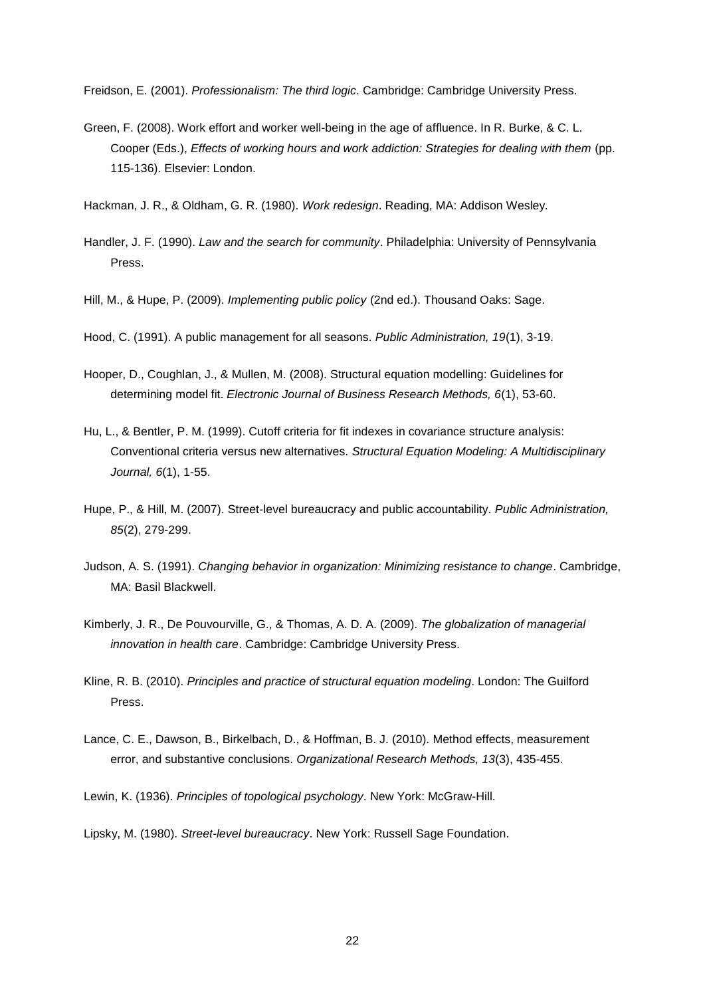Freidson, E. (2001). *Professionalism: The third logic*. Cambridge: Cambridge University Press.

Green, F. (2008). Work effort and worker well-being in the age of affluence. In R. Burke, & C. L. Cooper (Eds.), *Effects of working hours and work addiction: Strategies for dealing with them* (pp. 115-136). Elsevier: London.

Hackman, J. R., & Oldham, G. R. (1980). *Work redesign*. Reading, MA: Addison Wesley.

Handler, J. F. (1990). *Law and the search for community*. Philadelphia: University of Pennsylvania Press.

Hill, M., & Hupe, P. (2009). *Implementing public policy* (2nd ed.). Thousand Oaks: Sage.

Hood, C. (1991). A public management for all seasons. *Public Administration, 19*(1), 3-19.

- Hooper, D., Coughlan, J., & Mullen, M. (2008). Structural equation modelling: Guidelines for determining model fit. *Electronic Journal of Business Research Methods, 6*(1), 53-60.
- Hu, L., & Bentler, P. M. (1999). Cutoff criteria for fit indexes in covariance structure analysis: Conventional criteria versus new alternatives. *Structural Equation Modeling: A Multidisciplinary Journal, 6*(1), 1-55.
- Hupe, P., & Hill, M. (2007). Street-level bureaucracy and public accountability. *Public Administration, 85*(2), 279-299.
- Judson, A. S. (1991). *Changing behavior in organization: Minimizing resistance to change*. Cambridge, MA: Basil Blackwell.
- Kimberly, J. R., De Pouvourville, G., & Thomas, A. D. A. (2009). *The globalization of managerial innovation in health care*. Cambridge: Cambridge University Press.
- Kline, R. B. (2010). *Principles and practice of structural equation modeling*. London: The Guilford Press.
- Lance, C. E., Dawson, B., Birkelbach, D., & Hoffman, B. J. (2010). Method effects, measurement error, and substantive conclusions. *Organizational Research Methods, 13*(3), 435-455.

Lewin, K. (1936). *Principles of topological psychology*. New York: McGraw-Hill.

Lipsky, M. (1980). *Street-level bureaucracy*. New York: Russell Sage Foundation.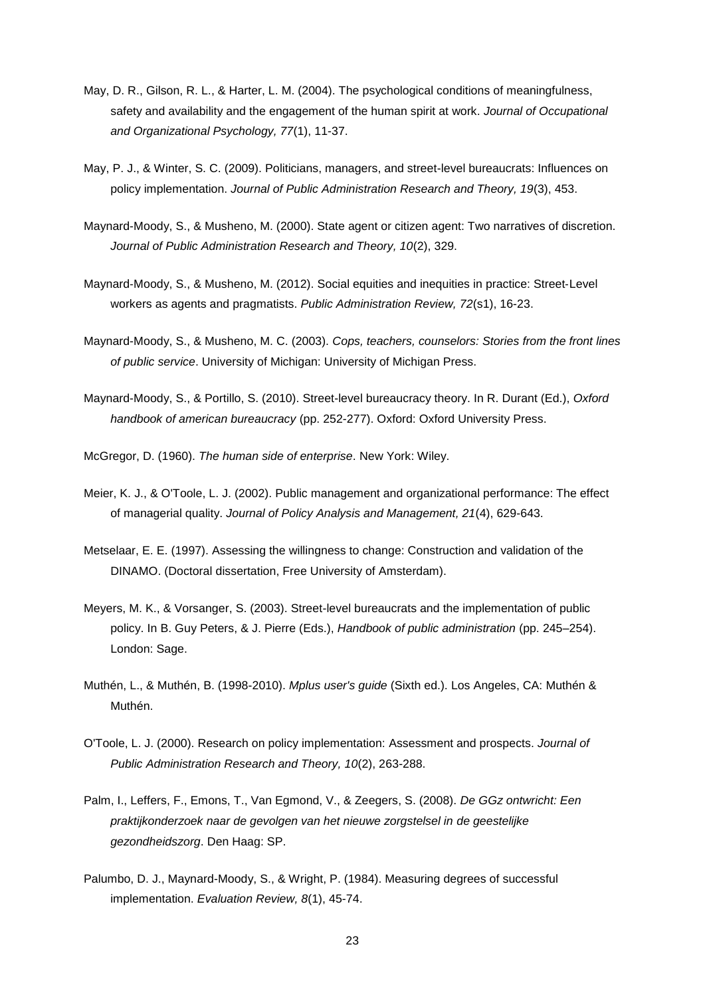- May, D. R., Gilson, R. L., & Harter, L. M. (2004). The psychological conditions of meaningfulness, safety and availability and the engagement of the human spirit at work. *Journal of Occupational and Organizational Psychology, 77*(1), 11-37.
- May, P. J., & Winter, S. C. (2009). Politicians, managers, and street-level bureaucrats: Influences on policy implementation. *Journal of Public Administration Research and Theory, 19*(3), 453.
- Maynard-Moody, S., & Musheno, M. (2000). State agent or citizen agent: Two narratives of discretion. *Journal of Public Administration Research and Theory, 10*(2), 329.
- Maynard‐Moody, S., & Musheno, M. (2012). Social equities and inequities in practice: Street‐Level workers as agents and pragmatists. *Public Administration Review, 72*(s1), 16-23.
- Maynard-Moody, S., & Musheno, M. C. (2003). *Cops, teachers, counselors: Stories from the front lines of public service*. University of Michigan: University of Michigan Press.
- Maynard-Moody, S., & Portillo, S. (2010). Street-level bureaucracy theory. In R. Durant (Ed.), *Oxford handbook of american bureaucracy* (pp. 252-277). Oxford: Oxford University Press.

McGregor, D. (1960). *The human side of enterprise*. New York: Wiley.

- Meier, K. J., & O'Toole, L. J. (2002). Public management and organizational performance: The effect of managerial quality. *Journal of Policy Analysis and Management, 21*(4), 629-643.
- Metselaar, E. E. (1997). Assessing the willingness to change: Construction and validation of the DINAMO. (Doctoral dissertation, Free University of Amsterdam).
- Meyers, M. K., & Vorsanger, S. (2003). Street-level bureaucrats and the implementation of public policy. In B. Guy Peters, & J. Pierre (Eds.), *Handbook of public administration* (pp. 245–254). London: Sage.
- Muthén, L., & Muthén, B. (1998-2010). *Mplus user's guide* (Sixth ed.). Los Angeles, CA: Muthén & Muthén.
- O'Toole, L. J. (2000). Research on policy implementation: Assessment and prospects. *Journal of Public Administration Research and Theory, 10*(2), 263-288.
- Palm, I., Leffers, F., Emons, T., Van Egmond, V., & Zeegers, S. (2008). *De GGz ontwricht: Een praktijkonderzoek naar de gevolgen van het nieuwe zorgstelsel in de geestelijke gezondheidszorg*. Den Haag: SP.
- Palumbo, D. J., Maynard-Moody, S., & Wright, P. (1984). Measuring degrees of successful implementation. *Evaluation Review, 8*(1), 45-74.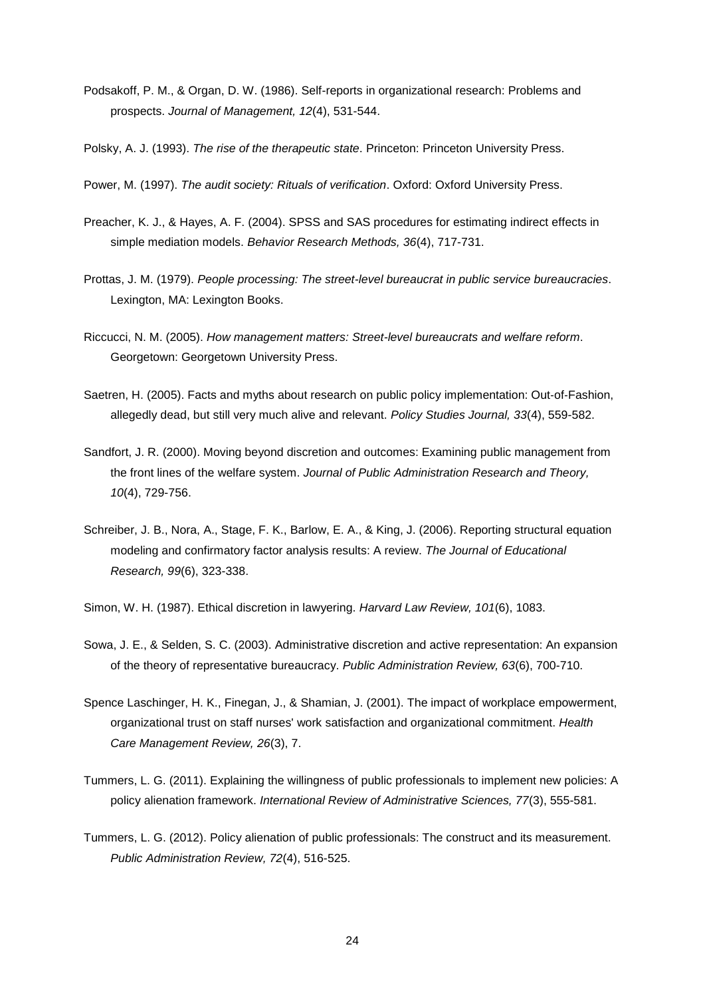- Podsakoff, P. M., & Organ, D. W. (1986). Self-reports in organizational research: Problems and prospects. *Journal of Management, 12*(4), 531-544.
- Polsky, A. J. (1993). *The rise of the therapeutic state*. Princeton: Princeton University Press.
- Power, M. (1997). *The audit society: Rituals of verification*. Oxford: Oxford University Press.
- Preacher, K. J., & Hayes, A. F. (2004). SPSS and SAS procedures for estimating indirect effects in simple mediation models. *Behavior Research Methods, 36*(4), 717-731.
- Prottas, J. M. (1979). *People processing: The street-level bureaucrat in public service bureaucracies*. Lexington, MA: Lexington Books.
- Riccucci, N. M. (2005). *How management matters: Street-level bureaucrats and welfare reform*. Georgetown: Georgetown University Press.
- Saetren, H. (2005). Facts and myths about research on public policy implementation: Out‐of‐Fashion, allegedly dead, but still very much alive and relevant. *Policy Studies Journal, 33*(4), 559-582.
- Sandfort, J. R. (2000). Moving beyond discretion and outcomes: Examining public management from the front lines of the welfare system. *Journal of Public Administration Research and Theory, 10*(4), 729-756.
- Schreiber, J. B., Nora, A., Stage, F. K., Barlow, E. A., & King, J. (2006). Reporting structural equation modeling and confirmatory factor analysis results: A review. *The Journal of Educational Research, 99*(6), 323-338.
- Simon, W. H. (1987). Ethical discretion in lawyering. *Harvard Law Review, 101*(6), 1083.
- Sowa, J. E., & Selden, S. C. (2003). Administrative discretion and active representation: An expansion of the theory of representative bureaucracy. *Public Administration Review, 63*(6), 700-710.
- Spence Laschinger, H. K., Finegan, J., & Shamian, J. (2001). The impact of workplace empowerment, organizational trust on staff nurses' work satisfaction and organizational commitment. *Health Care Management Review, 26*(3), 7.
- Tummers, L. G. (2011). Explaining the willingness of public professionals to implement new policies: A policy alienation framework. *International Review of Administrative Sciences, 77*(3), 555-581.
- Tummers, L. G. (2012). Policy alienation of public professionals: The construct and its measurement. *Public Administration Review, 72*(4), 516-525.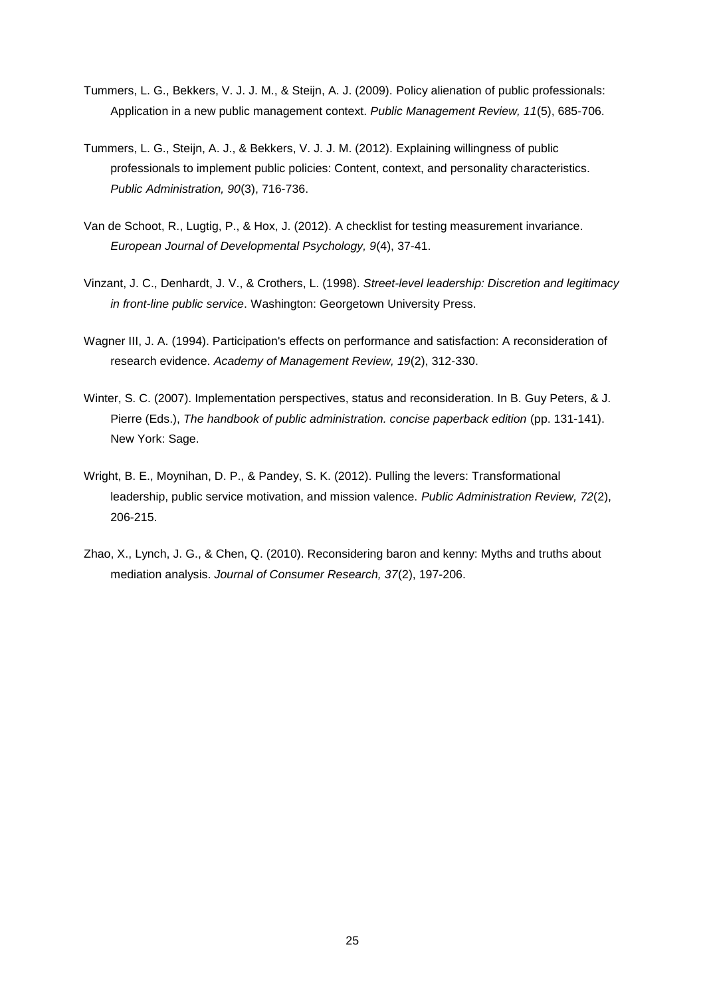- Tummers, L. G., Bekkers, V. J. J. M., & Steijn, A. J. (2009). Policy alienation of public professionals: Application in a new public management context. *Public Management Review, 11*(5), 685-706.
- Tummers, L. G., Steijn, A. J., & Bekkers, V. J. J. M. (2012). Explaining willingness of public professionals to implement public policies: Content, context, and personality characteristics. *Public Administration, 90*(3), 716-736.
- Van de Schoot, R., Lugtig, P., & Hox, J. (2012). A checklist for testing measurement invariance. *European Journal of Developmental Psychology, 9*(4), 37-41.
- Vinzant, J. C., Denhardt, J. V., & Crothers, L. (1998). *Street-level leadership: Discretion and legitimacy in front-line public service*. Washington: Georgetown University Press.
- Wagner III, J. A. (1994). Participation's effects on performance and satisfaction: A reconsideration of research evidence. *Academy of Management Review, 19*(2), 312-330.
- Winter, S. C. (2007). Implementation perspectives, status and reconsideration. In B. Guy Peters, & J. Pierre (Eds.), *The handbook of public administration. concise paperback edition* (pp. 131-141). New York: Sage.
- Wright, B. E., Moynihan, D. P., & Pandey, S. K. (2012). Pulling the levers: Transformational leadership, public service motivation, and mission valence. *Public Administration Review, 72*(2), 206-215.
- Zhao, X., Lynch, J. G., & Chen, Q. (2010). Reconsidering baron and kenny: Myths and truths about mediation analysis. *Journal of Consumer Research, 37*(2), 197-206.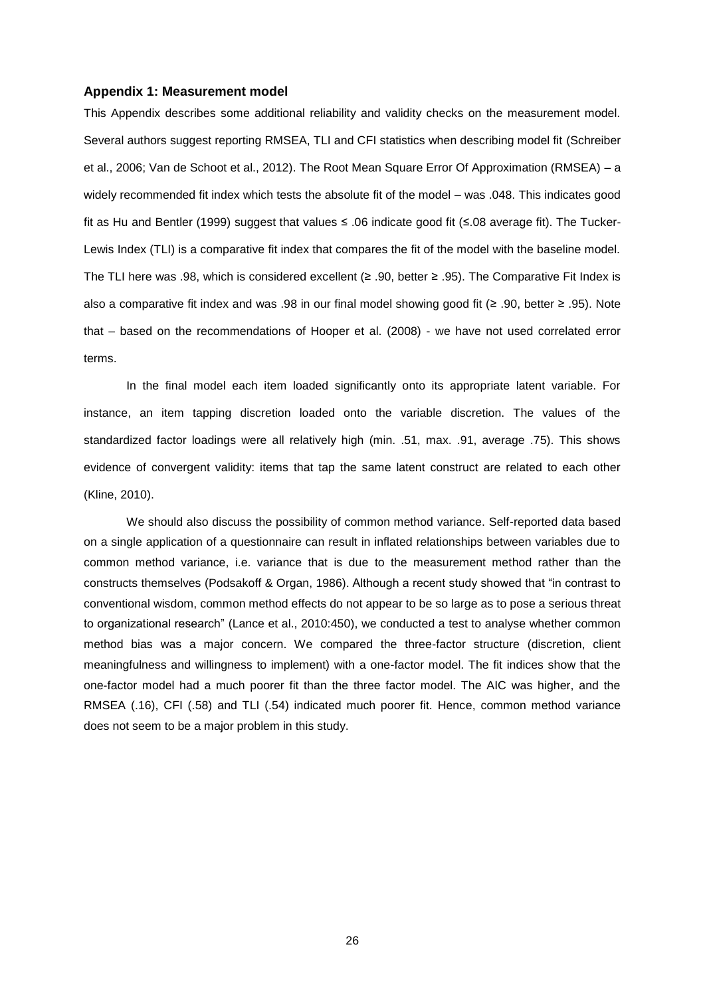# **Appendix 1: Measurement model**

This Appendix describes some additional reliability and validity checks on the measurement model. Several authors suggest reporting RMSEA, TLI and CFI statistics when describing model fit (Schreiber et al., 2006; Van de Schoot et al., 2012). The Root Mean Square Error Of Approximation (RMSEA) – a widely recommended fit index which tests the absolute fit of the model – was .048. This indicates good fit as Hu and Bentler (1999) suggest that values ≤ .06 indicate good fit (≤.08 average fit). The Tucker-Lewis Index (TLI) is a comparative fit index that compares the fit of the model with the baseline model. The TLI here was .98, which is considered excellent (≥ .90, better ≥ .95). The Comparative Fit Index is also a comparative fit index and was .98 in our final model showing good fit (≥ .90, better ≥ .95). Note that – based on the recommendations of Hooper et al. (2008) - we have not used correlated error terms.

In the final model each item loaded significantly onto its appropriate latent variable. For instance, an item tapping discretion loaded onto the variable discretion. The values of the standardized factor loadings were all relatively high (min. .51, max. .91, average .75). This shows evidence of convergent validity: items that tap the same latent construct are related to each other (Kline, 2010).

We should also discuss the possibility of common method variance. Self-reported data based on a single application of a questionnaire can result in inflated relationships between variables due to common method variance, i.e. variance that is due to the measurement method rather than the constructs themselves (Podsakoff & Organ, 1986). Although a recent study showed that "in contrast to conventional wisdom, common method effects do not appear to be so large as to pose a serious threat to organizational research" (Lance et al., 2010:450), we conducted a test to analyse whether common method bias was a major concern. We compared the three-factor structure (discretion, client meaningfulness and willingness to implement) with a one-factor model. The fit indices show that the one-factor model had a much poorer fit than the three factor model. The AIC was higher, and the RMSEA (.16), CFI (.58) and TLI (.54) indicated much poorer fit. Hence, common method variance does not seem to be a major problem in this study.